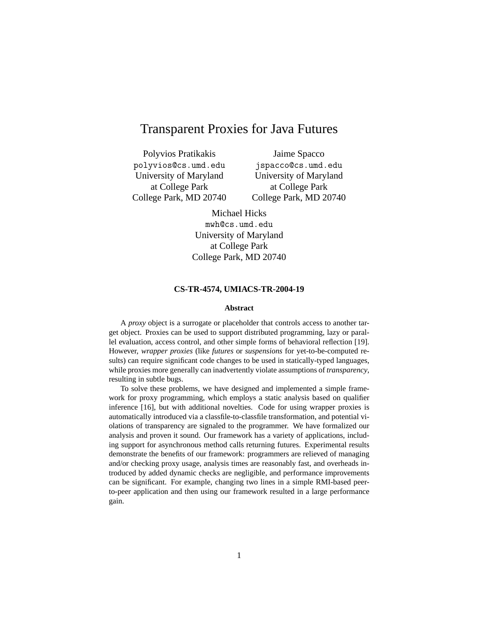# Transparent Proxies for Java Futures

Polyvios Pratikakis polyvios@cs.umd.edu University of Maryland at College Park College Park, MD 20740

Jaime Spacco jspacco@cs.umd.edu University of Maryland at College Park College Park, MD 20740

Michael Hicks mwh@cs.umd.edu University of Maryland at College Park College Park, MD 20740

#### **CS-TR-4574, UMIACS-TR-2004-19**

#### **Abstract**

A *proxy* object is a surrogate or placeholder that controls access to another target object. Proxies can be used to support distributed programming, lazy or parallel evaluation, access control, and other simple forms of behavioral reflection [19]. However, *wrapper proxies* (like *futures* or *suspensions* for yet-to-be-computed results) can require significant code changes to be used in statically-typed languages, while proxies more generally can inadvertently violate assumptions of *transparency*, resulting in subtle bugs.

To solve these problems, we have designed and implemented a simple framework for proxy programming, which employs a static analysis based on qualifier inference [16], but with additional novelties. Code for using wrapper proxies is automatically introduced via a classfile-to-classfile transformation, and potential violations of transparency are signaled to the programmer. We have formalized our analysis and proven it sound. Our framework has a variety of applications, including support for asynchronous method calls returning futures. Experimental results demonstrate the benefits of our framework: programmers are relieved of managing and/or checking proxy usage, analysis times are reasonably fast, and overheads introduced by added dynamic checks are negligible, and performance improvements can be significant. For example, changing two lines in a simple RMI-based peerto-peer application and then using our framework resulted in a large performance gain.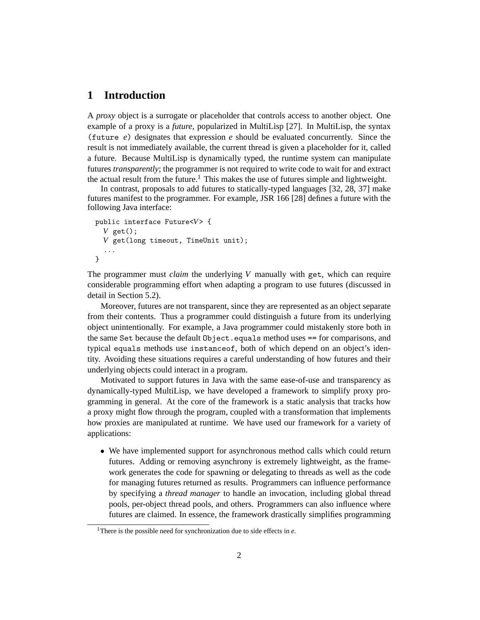## **1 Introduction**

A *proxy* object is a surrogate or placeholder that controls access to another object. One example of a proxy is a *future*, popularized in MultiLisp [27]. In MultiLisp, the syntax (future *e*) designates that expression *e* should be evaluated concurrently. Since the result is not immediately available, the current thread is given a placeholder for it, called a future. Because MultiLisp is dynamically typed, the runtime system can manipulate futures *transparently*; the programmer is not required to write code to wait for and extract the actual result from the future.<sup>1</sup> This makes the use of futures simple and lightweight.

In contrast, proposals to add futures to statically-typed languages [32, 28, 37] make futures manifest to the programmer. For example, JSR 166 [28] defines a future with the following Java interface:

```
public interface Future<V> {
  V get();
  V get(long timeout, TimeUnit unit);
  ...
}
```
The programmer must *claim* the underlying *V* manually with get, which can require considerable programming effort when adapting a program to use futures (discussed in detail in Section 5.2).

Moreover, futures are not transparent, since they are represented as an object separate from their contents. Thus a programmer could distinguish a future from its underlying object unintentionally. For example, a Java programmer could mistakenly store both in the same Set because the default Object.equals method uses == for comparisons, and typical equals methods use instanceof, both of which depend on an object's identity. Avoiding these situations requires a careful understanding of how futures and their underlying objects could interact in a program.

Motivated to support futures in Java with the same ease-of-use and transparency as dynamically-typed MultiLisp, we have developed a framework to simplify proxy programming in general. At the core of the framework is a static analysis that tracks how a proxy might flow through the program, coupled with a transformation that implements how proxies are manipulated at runtime. We have used our framework for a variety of applications:

• We have implemented support for asynchronous method calls which could return futures. Adding or removing asynchrony is extremely lightweight, as the framework generates the code for spawning or delegating to threads as well as the code for managing futures returned as results. Programmers can influence performance by specifying a *thread manager* to handle an invocation, including global thread pools, per-object thread pools, and others. Programmers can also influence where futures are claimed. In essence, the framework drastically simplifies programming

<sup>1</sup>There is the possible need for synchronization due to side effects in *e*.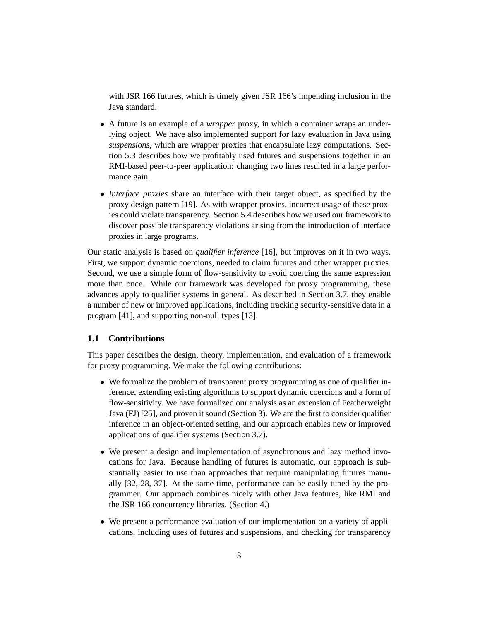with JSR 166 futures, which is timely given JSR 166's impending inclusion in the Java standard.

- A future is an example of a *wrapper* proxy, in which a container wraps an underlying object. We have also implemented support for lazy evaluation in Java using *suspensions*, which are wrapper proxies that encapsulate lazy computations. Section 5.3 describes how we profitably used futures and suspensions together in an RMI-based peer-to-peer application: changing two lines resulted in a large performance gain.
- *Interface proxies* share an interface with their target object, as specified by the proxy design pattern [19]. As with wrapper proxies, incorrect usage of these proxies could violate transparency. Section 5.4 describes how we used our framework to discover possible transparency violations arising from the introduction of interface proxies in large programs.

Our static analysis is based on *qualifier inference* [16], but improves on it in two ways. First, we support dynamic coercions, needed to claim futures and other wrapper proxies. Second, we use a simple form of flow-sensitivity to avoid coercing the same expression more than once. While our framework was developed for proxy programming, these advances apply to qualifier systems in general. As described in Section 3.7, they enable a number of new or improved applications, including tracking security-sensitive data in a program [41], and supporting non-null types [13].

### **1.1 Contributions**

This paper describes the design, theory, implementation, and evaluation of a framework for proxy programming. We make the following contributions:

- We formalize the problem of transparent proxy programming as one of qualifier inference, extending existing algorithms to support dynamic coercions and a form of flow-sensitivity. We have formalized our analysis as an extension of Featherweight Java (FJ) [25], and proven it sound (Section 3). We are the first to consider qualifier inference in an object-oriented setting, and our approach enables new or improved applications of qualifier systems (Section 3.7).
- We present a design and implementation of asynchronous and lazy method invocations for Java. Because handling of futures is automatic, our approach is substantially easier to use than approaches that require manipulating futures manually [32, 28, 37]. At the same time, performance can be easily tuned by the programmer. Our approach combines nicely with other Java features, like RMI and the JSR 166 concurrency libraries. (Section 4.)
- We present a performance evaluation of our implementation on a variety of applications, including uses of futures and suspensions, and checking for transparency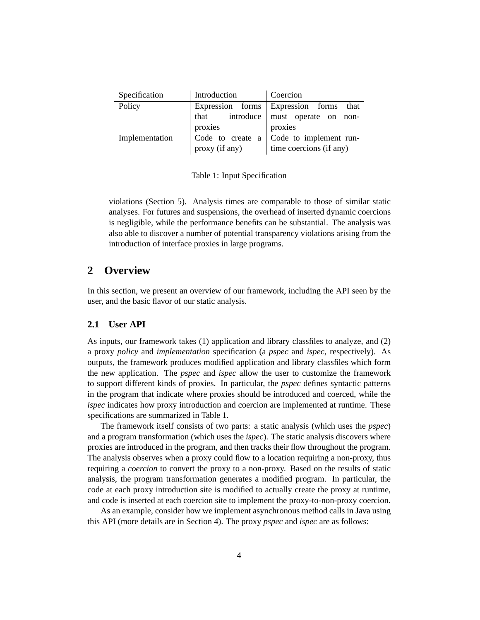| Specification  | Introduction   | Coercion                                       |  |  |  |
|----------------|----------------|------------------------------------------------|--|--|--|
| Policy         |                | Expression forms Expression forms that         |  |  |  |
|                | that           | introduce   must operate on non-               |  |  |  |
|                | proxies        | proxies                                        |  |  |  |
| Implementation |                | Code to create $a \mid$ Code to implement run- |  |  |  |
|                | proxy (if any) | time coercions (if any)                        |  |  |  |

Table 1: Input Specification

violations (Section 5). Analysis times are comparable to those of similar static analyses. For futures and suspensions, the overhead of inserted dynamic coercions is negligible, while the performance benefits can be substantial. The analysis was also able to discover a number of potential transparency violations arising from the introduction of interface proxies in large programs.

### **2 Overview**

In this section, we present an overview of our framework, including the API seen by the user, and the basic flavor of our static analysis.

### **2.1 User API**

As inputs, our framework takes (1) application and library classfiles to analyze, and (2) a proxy *policy* and *implementation* specification (a *pspec* and *ispec*, respectively). As outputs, the framework produces modified application and library classfiles which form the new application. The *pspec* and *ispec* allow the user to customize the framework to support different kinds of proxies. In particular, the *pspec* defines syntactic patterns in the program that indicate where proxies should be introduced and coerced, while the *ispec* indicates how proxy introduction and coercion are implemented at runtime. These specifications are summarized in Table 1.

The framework itself consists of two parts: a static analysis (which uses the *pspec*) and a program transformation (which uses the *ispec*). The static analysis discovers where proxies are introduced in the program, and then tracks their flow throughout the program. The analysis observes when a proxy could flow to a location requiring a non-proxy, thus requiring a *coercion* to convert the proxy to a non-proxy. Based on the results of static analysis, the program transformation generates a modified program. In particular, the code at each proxy introduction site is modified to actually create the proxy at runtime, and code is inserted at each coercion site to implement the proxy-to-non-proxy coercion.

As an example, consider how we implement asynchronous method calls in Java using this API (more details are in Section 4). The proxy *pspec* and *ispec* are as follows: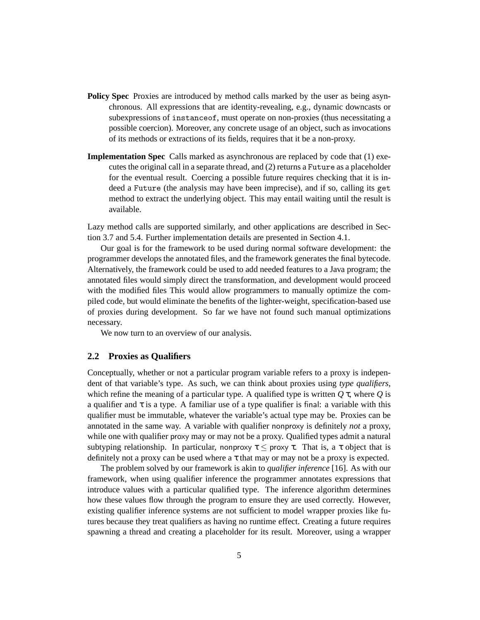- **Policy Spec** Proxies are introduced by method calls marked by the user as being asynchronous. All expressions that are identity-revealing, e.g., dynamic downcasts or subexpressions of instanceof, must operate on non-proxies (thus necessitating a possible coercion). Moreover, any concrete usage of an object, such as invocations of its methods or extractions of its fields, requires that it be a non-proxy.
- **Implementation Spec** Calls marked as asynchronous are replaced by code that (1) executes the original call in a separate thread, and (2) returns a Future as a placeholder for the eventual result. Coercing a possible future requires checking that it is indeed a Future (the analysis may have been imprecise), and if so, calling its get method to extract the underlying object. This may entail waiting until the result is available.

Lazy method calls are supported similarly, and other applications are described in Section 3.7 and 5.4. Further implementation details are presented in Section 4.1.

Our goal is for the framework to be used during normal software development: the programmer develops the annotated files, and the framework generates the final bytecode. Alternatively, the framework could be used to add needed features to a Java program; the annotated files would simply direct the transformation, and development would proceed with the modified files This would allow programmers to manually optimize the compiled code, but would eliminate the benefits of the lighter-weight, specification-based use of proxies during development. So far we have not found such manual optimizations necessary.

We now turn to an overview of our analysis.

### **2.2 Proxies as Qualifiers**

Conceptually, whether or not a particular program variable refers to a proxy is independent of that variable's type. As such, we can think about proxies using *type qualifiers*, which refine the meaning of a particular type. A qualified type is written  $Q\tau$ , where  $Q$  is a qualifier and  $\tau$  is a type. A familiar use of a type qualifier is final: a variable with this qualifier must be immutable, whatever the variable's actual type may be. Proxies can be annotated in the same way. A variable with qualifier nonproxy is definitely *not* a proxy, while one with qualifier proxy may or may not be a proxy. Qualified types admit a natural subtyping relationship. In particular, nonproxy  $\tau \leq$  proxy  $\tau$ . That is, a  $\tau$  object that is definitely not a proxy can be used where a  $\tau$  that may or may not be a proxy is expected.

The problem solved by our framework is akin to *qualifier inference* [16]. As with our framework, when using qualifier inference the programmer annotates expressions that introduce values with a particular qualified type. The inference algorithm determines how these values flow through the program to ensure they are used correctly. However, existing qualifier inference systems are not sufficient to model wrapper proxies like futures because they treat qualifiers as having no runtime effect. Creating a future requires spawning a thread and creating a placeholder for its result. Moreover, using a wrapper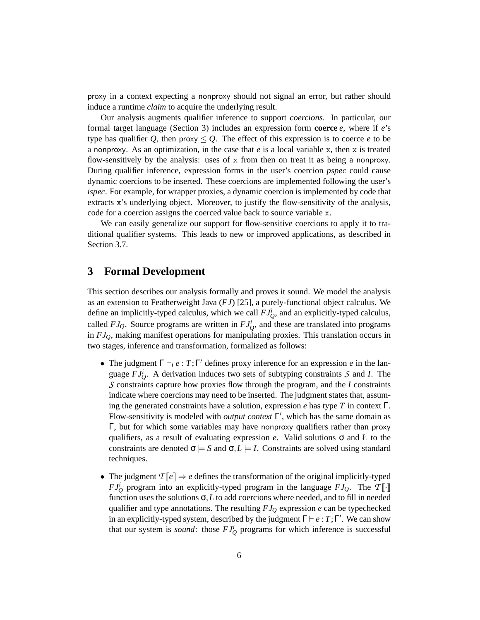proxy in a context expecting a nonproxy should not signal an error, but rather should induce a runtime *claim* to acquire the underlying result.

Our analysis augments qualifier inference to support *coercions*. In particular, our formal target language (Section 3) includes an expression form **coerce** *e*, where if *e*'s type has qualifier *Q*, then proxy  $\leq Q$ . The effect of this expression is to coerce *e* to be a nonproxy. As an optimization, in the case that *e* is a local variable x, then x is treated flow-sensitively by the analysis: uses of  $x$  from then on treat it as being a nonproxy. During qualifier inference, expression forms in the user's coercion *pspec* could cause dynamic coercions to be inserted. These coercions are implemented following the user's *ispec*. For example, for wrapper proxies, a dynamic coercion is implemented by code that extracts x's underlying object. Moreover, to justify the flow-sensitivity of the analysis, code for a coercion assigns the coerced value back to source variable x.

We can easily generalize our support for flow-sensitive coercions to apply it to traditional qualifier systems. This leads to new or improved applications, as described in Section 3.7.

## **3 Formal Development**

This section describes our analysis formally and proves it sound. We model the analysis as an extension to Featherweight Java (*FJ*) [25], a purely-functional object calculus. We define an implicitly-typed calculus, which we call  $FJ_Q^i$ , and an explicitly-typed calculus, called  $FJ_Q$ . Source programs are written in  $FJ_Q^i$ , and these are translated into programs in *FJQ*, making manifest operations for manipulating proxies. This translation occurs in two stages, inference and transformation, formalized as follows:

- The judgment  $\Gamma \vdash_i e : T; \Gamma'$  defines proxy inference for an expression *e* in the language  $FJ_Q^i$ . A derivation induces two sets of subtyping constraints *S* and *I*. The *S* constraints capture how proxies flow through the program, and the *I* constraints indicate where coercions may need to be inserted. The judgment states that, assuming the generated constraints have a solution, expression *e* has type *T* in context Γ. Flow-sensitivity is modeled with *output context*  $\Gamma'$ , which has the same domain as Γ, but for which some variables may have nonproxy qualifiers rather than proxy qualifiers, as a result of evaluating expression  $e$ . Valid solutions  $\sigma$  and  $E$  to the constraints are denoted  $\sigma \models S$  and  $\sigma, L \models I$ . Constraints are solved using standard techniques.
- The judgment  $T[\![e]\!] \Rightarrow e$  defines the transformation of the original implicitly-typed *FJ*<sup>*i*</sup></sup><sub>*Q*</sub> program into an explicitly-typed program in the language *FJ*<sub>*Q*</sub>. The *T*[ $\vert \cdot \vert$ ] function uses the solutions  $\sigma$ , *L* to add coercions where needed, and to fill in needed qualifier and type annotations. The resulting *FJ<sup>Q</sup>* expression *e* can be typechecked in an explicitly-typed system, described by the judgment  $\Gamma \vdash e : T; \Gamma'$ . We can show that our system is *sound*: those  $FJ_Q^i$  programs for which inference is successful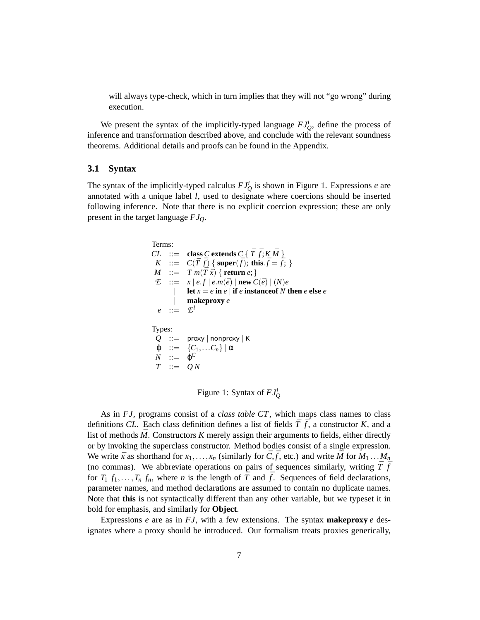will always type-check, which in turn implies that they will not "go wrong" during execution.

We present the syntax of the implicitly-typed language  $FJ_Q^i$ , define the process of inference and transformation described above, and conclude with the relevant soundness theorems. Additional details and proofs can be found in the Appendix.

### **3.1 Syntax**

The syntax of the implicitly-typed calculus  $FJ_Q^i$  is shown in Figure 1. Expressions *e* are annotated with a unique label *l*, used to designate where coercions should be inserted following inference. Note that there is no explicit coercion expression; these are only present in the target language *FJQ*.

```
Terms:
CL ::= class C extends C \{ \overline{T} \overline{f}; K \overline{M} \}K ::= C(\bar{T} \bar{f}) \{ \text{super}(\bar{f}); \text{ this.} \bar{f} = \bar{f}; \}M ::= T m(\overline{T} \overline{x}) \{ \text{return } e; \}E ::= x | e.f | e.m(\bar{e}) | \textbf{new } C(\bar{e}) | (N)e\textbf{let } x = e \textbf{ in } e \mid \textbf{if } e \textbf{ instance of } N \textbf{ then } e \textbf{ else } e| makeproxy e
   e ::= \mathcal{L}^lTypes:
  Q ::= proxy | nonproxy | κ
  \varphi ::= \{C_1,...C_n\} | \alphaN ::= \varphi^CT ::= Q N
```
Figure 1: Syntax of *FJ<sup>i</sup> Q*

As in *FJ*, programs consist of a *class table CT*, which maps class names to class definitions *CL*. Each class definition defines a list of fields  $\overline{T} \cdot \overline{f}$ , a constructor *K*, and a list of methods  $\overline{M}$ . Constructors  $K$  merely assign their arguments to fields, either directly or by invoking the superclass constructor. Method bodies consist of a single expression. We write  $\bar{x}$  as shorthand for  $x_1, \ldots, x_n$  (similarly for  $\bar{C}, \bar{f}$ , etc.) and write  $\bar{M}$  for  $M_1 \ldots M_n$ (no commas). We abbreviate operations on pairs of sequences similarly, writing  $\bar{T} \bar{f}$ for  $T_1$   $f_1$ ,..., $T_n$   $f_n$ , where *n* is the length of  $\overline{T}$  and  $\overline{f}$ . Sequences of field declarations, parameter names, and method declarations are assumed to contain no duplicate names. Note that **this** is not syntactically different than any other variable, but we typeset it in bold for emphasis, and similarly for **Object**.

Expressions *e* are as in  $FJ$ , with a few extensions. The syntax **makeproxy** *e* designates where a proxy should be introduced. Our formalism treats proxies generically,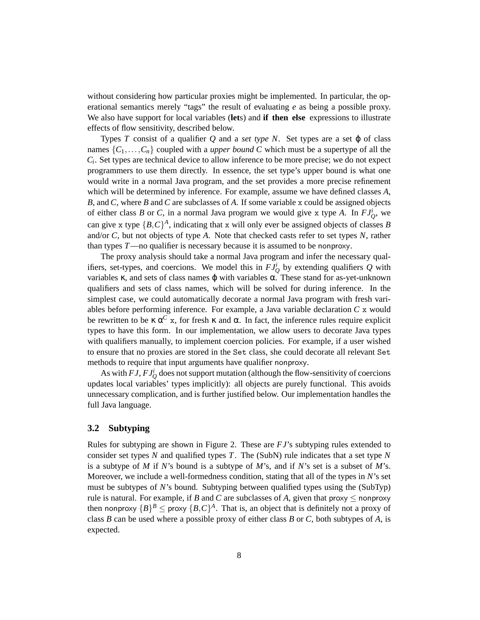without considering how particular proxies might be implemented. In particular, the operational semantics merely "tags" the result of evaluating *e* as being a possible proxy. We also have support for local variables (**let**s) and **if then else** expressions to illustrate effects of flow sensitivity, described below.

Types *T* consist of a qualifier  $Q$  and a *set type N*. Set types are a set  $\varphi$  of class names  $\{C_1, \ldots, C_n\}$  coupled with a *upper bound C* which must be a supertype of all the *Ci* . Set types are technical device to allow inference to be more precise; we do not expect programmers to use them directly. In essence, the set type's upper bound is what one would write in a normal Java program, and the set provides a more precise refinement which will be determined by inference. For example, assume we have defined classes *A*, *B*, and *C*, where *B* and *C* are subclasses of *A*. If some variable x could be assigned objects of either class *B* or *C*, in a normal Java program we would give x type *A*. In  $FJ_Q^i$ , we can give x type  $\{B, C\}^A$ , indicating that x will only ever be assigned objects of classes *B* and/or *C*, but not objects of type *A*. Note that checked casts refer to set types *N*, rather than types *T*—no qualifier is necessary because it is assumed to be nonproxy.

The proxy analysis should take a normal Java program and infer the necessary qualifiers, set-types, and coercions. We model this in  $FJ_Q^i$  by extending qualifiers  $Q$  with variables κ, and sets of class names ϕ with variables α. These stand for as-yet-unknown qualifiers and sets of class names, which will be solved for during inference. In the simplest case, we could automatically decorate a normal Java program with fresh variables before performing inference. For example, a Java variable declaration *C* x would be rewritten to be  $\kappa \alpha^C x$ , for fresh  $\kappa$  and  $\alpha$ . In fact, the inference rules require explicit types to have this form. In our implementation, we allow users to decorate Java types with qualifiers manually, to implement coercion policies. For example, if a user wished to ensure that no proxies are stored in the Set class, she could decorate all relevant Set methods to require that input arguments have qualifier nonproxy.

As with  $FJ$ ,  $FJ_Q^i$  does not support mutation (although the flow-sensitivity of coercions updates local variables' types implicitly): all objects are purely functional. This avoids unnecessary complication, and is further justified below. Our implementation handles the full Java language.

### **3.2 Subtyping**

Rules for subtyping are shown in Figure 2. These are *FJ*'s subtyping rules extended to consider set types *N* and qualified types *T*. The (SubN) rule indicates that a set type *N* is a subtype of *M* if *N*'s bound is a subtype of *M*'s, and if *N*'s set is a subset of *M*'s. Moreover, we include a well-formedness condition, stating that all of the types in *N*'s set must be subtypes of *N*'s bound. Subtyping between qualified types using the (SubTyp) rule is natural. For example, if *B* and *C* are subclasses of *A*, given that proxy  $\leq$  nonproxy then nonproxy  ${B}^B \leq \text{proxy } {B,C}^A$ . That is, an object that is definitely not a proxy of class *B* can be used where a possible proxy of either class *B* or *C*, both subtypes of *A*, is expected.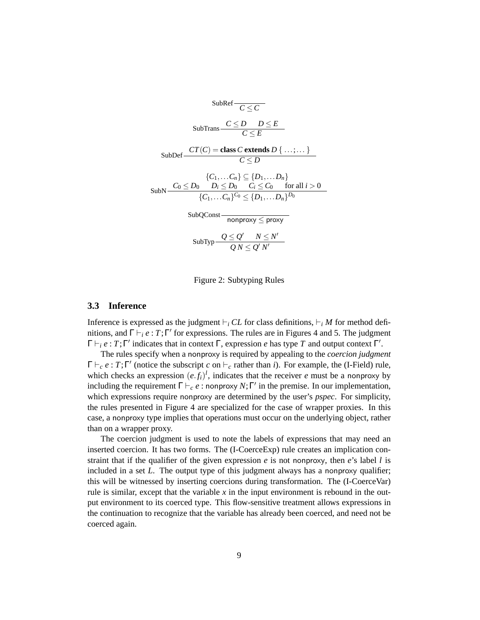SubRef 
$$
\overline{C \le C}
$$
  
\nSubTrans  $\frac{C \le D \quad D \le E}{C \le E}$   
\nSubDef  $\frac{CT(C) = \text{class } C \text{ extends } D \{ \dots; \dots \}}$   
\n $\frac{\{C_1, \dots, C_n\} \subseteq \{D_1, \dots, D_n\}}{\{C_1, \dots, C_n\}^C \subseteq D_0 \quad C_i \le C_0 \quad \text{for all } i > 0}$   
\nSubQConst  $\overline{D_0 \cap \{D_1, \dots, D_n\}^D}$   
\nSubQConst  $\overline{D_0 \cap \{D_2\}^C} \le \overline{D_1 \cap \{D_2\}^D}$   
\nSubQCost  $\overline{D_0 \cap \{D_1\}^C} \le \overline{D_1 \cap \{D_2\}^C}$   
\nSubType  $\underline{Q} \le \underline{Q'} \quad N \le N'$ 

Figure 2: Subtyping Rules

### **3.3 Inference**

Inference is expressed as the judgment  $\vdash_i CL$  for class definitions,  $\vdash_i M$  for method definitions, and  $\Gamma \vdash_i e : T; \Gamma'$  for expressions. The rules are in Figures 4 and 5. The judgment  $\Gamma \vdash_i e : T; \Gamma'$  indicates that in context  $\Gamma$ , expression *e* has type *T* and output context  $\Gamma'$ .

The rules specify when a nonproxy is required by appealing to the *coercion judgment*  $\Gamma \vdash_c e : T; \Gamma'$  (notice the subscript *c* on  $\vdash_c$  rather than *i*). For example, the (I-Field) rule, which checks an expression  $(e.f_i)^l$ , indicates that the receiver *e* must be a nonproxy by including the requirement  $\Gamma \vdash_c e$ : nonproxy  $N; \Gamma'$  in the premise. In our implementation, which expressions require nonproxy are determined by the user's *pspec*. For simplicity, the rules presented in Figure 4 are specialized for the case of wrapper proxies. In this case, a nonproxy type implies that operations must occur on the underlying object, rather than on a wrapper proxy.

The coercion judgment is used to note the labels of expressions that may need an inserted coercion. It has two forms. The  $(I-CoereExp)$  rule creates an implication constraint that if the qualifier of the given expression *e* is not nonproxy, then *e*'s label *l* is included in a set *L*. The output type of this judgment always has a nonproxy qualifier; this will be witnessed by inserting coercions during transformation. The (I-CoerceVar) rule is similar, except that the variable  $x$  in the input environment is rebound in the output environment to its coerced type. This flow-sensitive treatment allows expressions in the continuation to recognize that the variable has already been coerced, and need not be coerced again.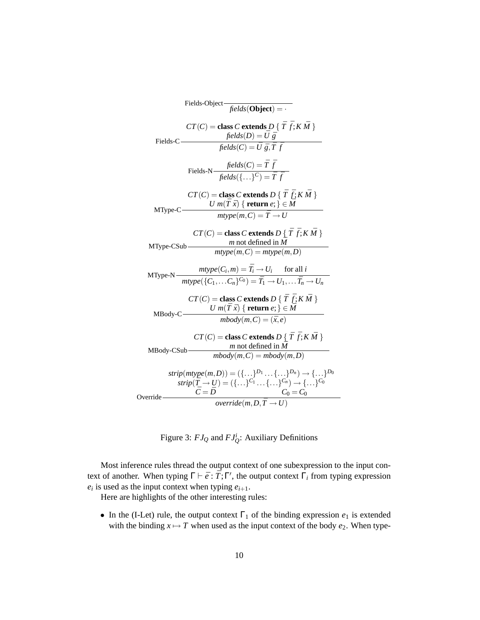

Figure 3:  $FJ_Q$  and  $FJ_Q^i$ : Auxiliary Definitions

Most inference rules thread the output context of one subexpression to the input context of another. When typing  $\Gamma \vdash \bar{e} : \bar{T}; \Gamma'$ , the output context  $\Gamma_i$  from typing expression  $e_i$  is used as the input context when typing  $e_{i+1}$ .

Here are highlights of the other interesting rules:

• In the (I-Let) rule, the output context  $\Gamma_1$  of the binding expression  $e_1$  is extended with the binding  $x \mapsto T$  when used as the input context of the body  $e_2$ . When type-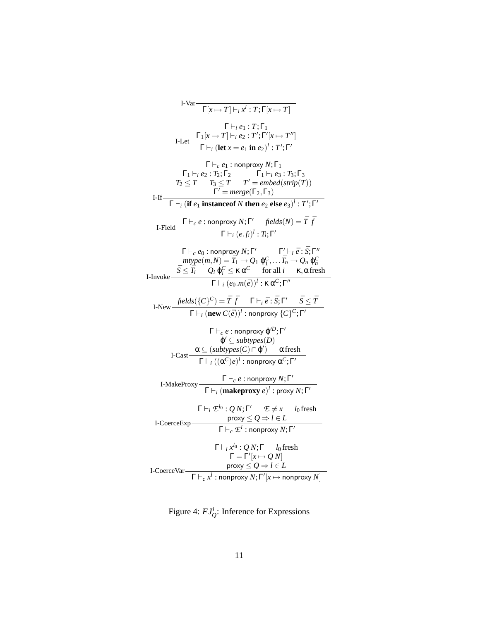I-Var
$$
\frac{\Gamma\{x\mapsto T\}\big[\big[x\mapsto T\big]\big[\big[x\mapsto T\big]\big]}{\Gamma\big[\big[x\mapsto T\big]\big[\big[x\mapsto T\big]\big]\big[\big[x\mapsto T'\big]\big]}\n\big]
$$
\nI-Let
$$
\frac{\Gamma_1\big[x\mapsto T\big]\big[\big[x\mapsto T\big]\big[\big[x\mapsto T''\big]\big]}{\Gamma\big[\big[x\mapsto T\big]\big[\big[x\mapsto T''\big]\big]\big]\n\big]}\n\big]
$$
\n
$$
\frac{\Gamma_1\big[\big[x\mapsto T\big]\big[\big[x\mapsto T\big]\big]\big[\big[x\mapsto T''\big]\big]}{\Gamma\big[\big[x\mapsto T\big]\big]\big[\big[x\mapsto T\big]\big]\big[\big[x\mapsto T\big]\big]\big]\n\big]}\n\big]
$$
\nI-If
$$
\frac{\Gamma_1\big[\big[x\mapsto T\big]\big[\big[x\mapsto T\big]\big]\big[\big[x\mapsto T\big]\big]\big[\big[x\mapsto T\big]\big]\big]}{\Gamma'\big[\big[\big[x\mapsto T\big]\big]\big[\big[x\mapsto T\big]\big]\big[\big[x\mapsto T'\big]\big]\n\big]}\n\big]
$$
\nI-Field
$$
\frac{\Gamma\big[\big[x\mapsto t\big]\big[\big[\big[x\mapsto T\big]\big]\big]\big[\big[\big[x\mapsto T\big]\big]\big]\big]\big[\big[\big[x\mapsto T\big]\big]\big]\n\big]}\n\big]
$$
\nI-Field
$$
\frac{\Gamma\big[\big[x\mapsto t\big]\big[\big[\big[x\big]\big]\big]\big]\big[\big[\big[x\mapsto T\big]\big]\big]\big[\big[\big[x\mapsto T\big]\big]\big]\n\big]}\n\big]
$$
\n
$$
\frac{\Gamma\big[\big[x\mapsto t\big]\big[\big[\big[x\big]\big]\big]\big]\big[\big[\big[x\mapsto T\big]\big]\big]\big]\big[\big[\big[x\mapsto T\big]\big]\n\big]}\n\big]
$$
\nI-Now
$$
\frac{\tilde{f}elds(\{C\}^C\big)}{\Gamma\big[\big[\big(x\mapsto T\big]\big]\big]\big[\big[\big[x\mapsto T\big]\big]\big]\big]\big[\big[\big[x\mapsto T\big]\big]\n\big]}\n\big]
$$
\nI-

Figure 4:  $FJ_Q^i$ : Inference for Expressions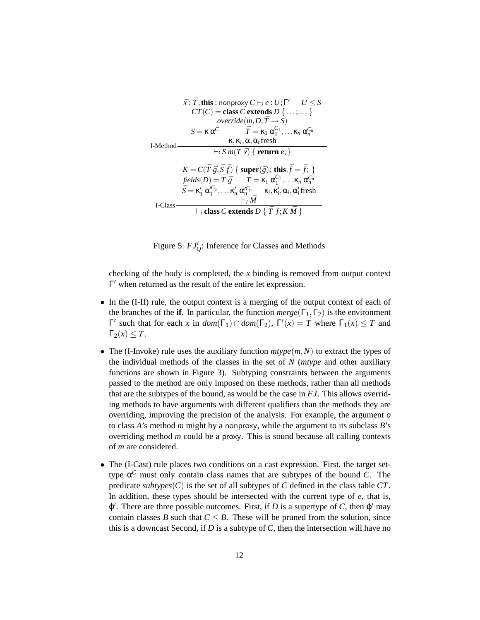$$
\bar{x}: \bar{T}, \text{this}: \text{nonprovy } C \vdash_i e: U; \Gamma' \qquad U \leq S
$$
\n
$$
CT(C) = \text{class } C \text{ extends } D \{ \dots; \dots \}
$$
\n
$$
\text{override}(m, D, \bar{T} \to S)
$$
\n
$$
S = \kappa \alpha^C \qquad \bar{T} = \kappa_1 \alpha_1^{C_1}, \dots \kappa_n \alpha_n^{C_n}
$$
\nI-Method\n
$$
\vdash_i S \, m(\bar{T} \, \bar{x}) \{ \text{return } e; \}
$$
\n
$$
K = C(\bar{T} \, \bar{g}, \bar{S} \, \bar{f}) \{ \text{super}(\bar{g}); \text{this.} \bar{f} = \bar{f}; \}
$$
\n
$$
\text{fields}(D) = \bar{T} \, \bar{g} \qquad \bar{T} = \kappa_1 \alpha_1^{C_1}, \dots \kappa_n \alpha_n^{C_n}
$$
\n
$$
\bar{S} = \kappa_1' \alpha_1^{C_1}, \dots \kappa_n' \alpha_n^{C_n} \qquad \kappa_i, \kappa_i', \alpha_i, \alpha_i' \text{ fresh}
$$
\nI-Class\n
$$
\vdash_i \bar{M}
$$

Figure 5:  $FJ_Q^i$ : Inference for Classes and Methods

checking of the body is completed, the *x* binding is removed from output context  $\Gamma'$  when returned as the result of the entire let expression.

- In the (I-If) rule, the output context is a merging of the output context of each of the branches of the **if**. In particular, the function  $merge(\Gamma_1, \Gamma_2)$  is the environment  $Γ'$  such that for each *x* in  $dom(Γ_1) ∩ dom(Γ_2)$ ,  $Γ'(x) = T$  where  $Γ_1(x) ≤ T$  and  $\Gamma_2(x) \leq T$ .
- The (I-Invoke) rule uses the auxiliary function  $mtype(m, N)$  to extract the types of the individual methods of the classes in the set of *N* (*mtype* and other auxiliary functions are shown in Figure 3). Subtyping constraints between the arguments passed to the method are only imposed on these methods, rather than all methods that are the subtypes of the bound, as would be the case in *FJ*. This allows overriding methods to have arguments with different qualifiers than the methods they are overriding, improving the precision of the analysis. For example, the argument *o* to class *A*'s method *m* might by a nonproxy, while the argument to its subclass *B*'s overriding method *m* could be a proxy. This is sound because all calling contexts of *m* are considered.
- The (I-Cast) rule places two conditions on a cast expression. First, the target settype α *<sup>C</sup>* must only contain class names that are subtypes of the bound *C*. The predicate *subtypes*( $C$ ) is the set of all subtypes of  $C$  defined in the class table  $CT$ . In addition, these types should be intersected with the current type of  $e$ , that is,  $\varphi'$ . There are three possible outcomes. First, if *D* is a supertype of *C*, then  $\varphi'$  may contain classes *B* such that  $C \leq B$ . These will be pruned from the solution, since this is a downcast Second, if *D* is a subtype of *C*, then the intersection will have no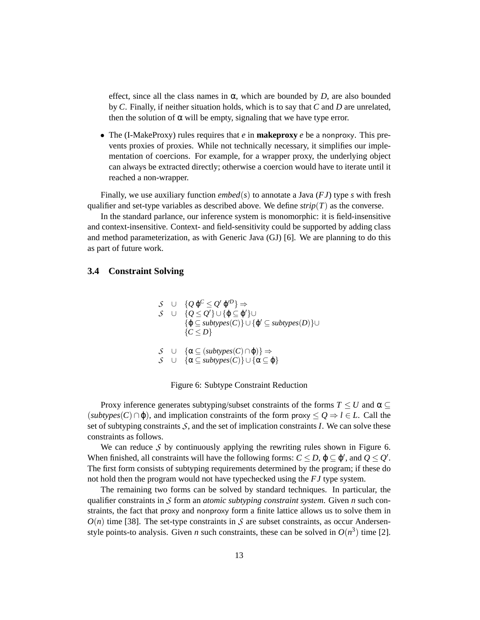effect, since all the class names in  $\alpha$ , which are bounded by *D*, are also bounded by *C*. Finally, if neither situation holds, which is to say that *C* and *D* are unrelated, then the solution of  $\alpha$  will be empty, signaling that we have type error.

• The (I-MakeProxy) rules requires that *e* in **makeproxy** *e* be a nonproxy. This prevents proxies of proxies. While not technically necessary, it simplifies our implementation of coercions. For example, for a wrapper proxy, the underlying object can always be extracted directly; otherwise a coercion would have to iterate until it reached a non-wrapper.

Finally, we use auxiliary function *embed*(*s*) to annotate a Java (*FJ*) type *s* with fresh qualifier and set-type variables as described above. We define  $strip(T)$  as the converse.

In the standard parlance, our inference system is monomorphic: it is field-insensitive and context-insensitive. Context- and field-sensitivity could be supported by adding class and method parameterization, as with Generic Java (GJ) [6]. We are planning to do this as part of future work.

### **3.4 Constraint Solving**

$$
S \cup \{Q \varphi^C \leq Q' \varphi'^D\} \Rightarrow
$$
  
\n
$$
S \cup \{Q \leq Q'\} \cup \{\varphi \subseteq \varphi'\} \cup
$$
  
\n
$$
\{\varphi \subseteq subtypes(C)\} \cup \{\varphi' \subseteq subtypes(D)\} \cup
$$
  
\n
$$
\{C \leq D\}
$$
  
\n
$$
S \cup \{\alpha \subseteq (subtypes(C) \cap \varphi)\} \Rightarrow
$$

*S* ∪  $\{\alpha \subseteq subtypes(C)\}$  ∪  $\{\alpha \subseteq \varphi\}$ 

### Figure 6: Subtype Constraint Reduction

Proxy inference generates subtyping/subset constraints of the forms  $T \leq U$  and  $\alpha \subseteq$  $(subtypes(C) \cap \varphi)$ , and implication constraints of the form proxy  $\leq Q \Rightarrow l \in L$ . Call the set of subtyping constraints  $S$ , and the set of implication constraints  $I$ . We can solve these constraints as follows.

We can reduce *S* by continuously applying the rewriting rules shown in Figure 6. When finished, all constraints will have the following forms:  $C \leq D$ ,  $\varphi \subseteq \varphi'$ , and  $Q \leq Q'$ . The first form consists of subtyping requirements determined by the program; if these do not hold then the program would not have typechecked using the *FJ* type system.

The remaining two forms can be solved by standard techniques. In particular, the qualifier constraints in *S* form an *atomic subtyping constraint system*. Given *n* such constraints, the fact that proxy and nonproxy form a finite lattice allows us to solve them in  $O(n)$  time [38]. The set-type constraints in *S* are subset constraints, as occur Andersenstyle points-to analysis. Given *n* such constraints, these can be solved in  $O(n^3)$  time [2].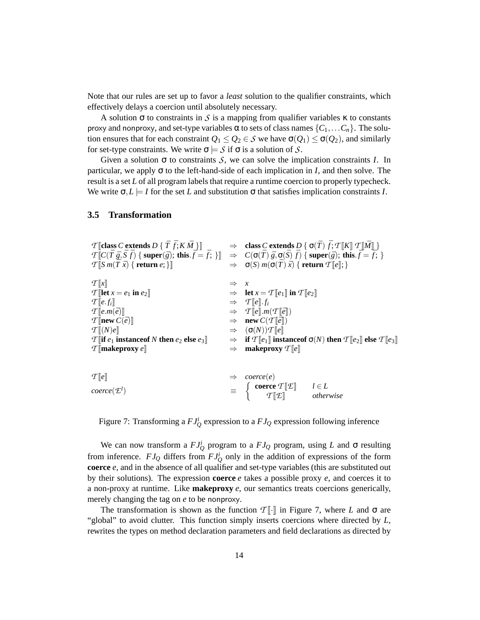Note that our rules are set up to favor a *least* solution to the qualifier constraints, which effectively delays a coercion until absolutely necessary.

A solution  $\sigma$  to constraints in *S* is a mapping from qualifier variables  $\kappa$  to constants proxy and nonproxy, and set-type variables α to sets of class names  $\{C_1, \ldots C_n\}$ . The solution ensures that for each constraint  $Q_1 \leq Q_2 \in S$  we have  $\sigma(Q_1) \leq \sigma(Q_2)$ , and similarly for set-type constraints. We write  $\sigma \models S$  if  $\sigma$  is a solution of *S*.

Given a solution  $\sigma$  to constraints *S*, we can solve the implication constraints *I*. In particular, we apply  $\sigma$  to the left-hand-side of each implication in *I*, and then solve. The result is a set *L* of all program labels that require a runtime coercion to properly typecheck. We write  $\sigma$ ,  $L \models I$  for the set *L* and substitution  $\sigma$  that satisfies implication constraints *I*.

### **3.5 Transformation**

| $\mathcal{T}$ [class C extends D { $\bar{T}$ $\bar{f}$ ; K $\bar{M}$ }]   |               | $\Rightarrow$ class C extends D { $\sigma(\bar{T}) \bar{f}$ ; $T[[K]] T[[\bar{M}]]$ }                                                                                                                                                                  |
|---------------------------------------------------------------------------|---------------|--------------------------------------------------------------------------------------------------------------------------------------------------------------------------------------------------------------------------------------------------------|
|                                                                           |               | $\mathcal{T}[\![C(\bar{T}\ \bar{g},\bar{S}\ \bar{f})\ \{ \text{ super}(\bar{g});\ \text{this}.\bar{f}=\bar{f};\ \}]\!] \Rightarrow C(\sigma(\bar{T})\ \bar{g},\sigma(\bar{S})\ \bar{f})\ \{ \text{ super}(\bar{g});\ \text{this}.\bar{f}=\bar{f};\ \}$ |
| $\mathcal{T}$ $\left[ S \, m(\bar{T} \, \bar{x}) \right\}$ return $e; \}$ |               | $\Rightarrow$ $\sigma(S) m(\sigma(\bar{T}) \bar{x})$ { return $\mathcal{T}[[e];\bar{x}]$                                                                                                                                                               |
|                                                                           |               |                                                                                                                                                                                                                                                        |
| T[x]                                                                      |               |                                                                                                                                                                                                                                                        |
| $\mathcal{T}$ [let $x = e_1$ in $e_2$ ]                                   |               | $\Rightarrow$ let $x = \mathcal{T}[[e_1]]$ in $\mathcal{T}[[e_2]]$                                                                                                                                                                                     |
| $\mathcal{T}[\![e.f_i]\!]$                                                |               | $\Rightarrow$ $T\llbracket e \rrbracket. f_i$                                                                                                                                                                                                          |
| $T[[e.m(\bar{e})]]$                                                       |               | $\Rightarrow T[\![e]\!] \cdot m(T[\![\bar{e}]\!])$                                                                                                                                                                                                     |
| $\mathcal{T}$ [new $C(\bar{e})$ ]                                         |               | $\Rightarrow$ new $C(T[\![\bar{e}]\!])$                                                                                                                                                                                                                |
| $\mathcal{T} \llbracket (N)e \rrbracket$                                  |               | $\Rightarrow$ $(\sigma(N))$ $T$ [e]]                                                                                                                                                                                                                   |
| $\mathcal{T}$ [if $e_1$ instance of N then $e_2$ else $e_3$ ]             |               | $\Rightarrow$ if $\mathcal{T}[e_1]$ instance of $\sigma(N)$ then $\mathcal{T}[e_2]$ else $\mathcal{T}[e_3]$                                                                                                                                            |
| $\mathcal{T}$ makeproxy $e$                                               | $\Rightarrow$ | makeproxy $T[[e]]$                                                                                                                                                                                                                                     |
|                                                                           |               |                                                                                                                                                                                                                                                        |
|                                                                           |               |                                                                                                                                                                                                                                                        |
| T[e]                                                                      |               | $\Rightarrow$ coerce(e)                                                                                                                                                                                                                                |
| $coerce(\mathcal{L}^l)$                                                   |               | $\equiv \begin{cases} \text{coerce } \mathcal{T}[\mathcal{I}] & l \in L \\ \mathcal{T}[\mathcal{I}]\end{cases}$                                                                                                                                        |
|                                                                           |               |                                                                                                                                                                                                                                                        |

Figure 7: Transforming a  $FJ_Q^i$  expression to a  $FJ_Q$  expression following inference

*T* [[*E*]] *otherwise*

We can now transform a  $FJ_Q^i$  program to a  $FJ_Q$  program, using *L* and  $\sigma$  resulting from inference.  $FJ_Q$  differs from  $FJ_Q^i$  only in the addition of expressions of the form **coerce** *e*, and in the absence of all qualifier and set-type variables (this are substituted out by their solutions). The expression **coerce**  $e$  takes a possible proxy  $e$ , and coerces it to a non-proxy at runtime. Like **makeproxy** *e*, our semantics treats coercions generically, merely changing the tag on *e* to be nonproxy.

The transformation is shown as the function  $T\llbracket \cdot \rrbracket$  in Figure 7, where *L* and  $\sigma$  are "global" to avoid clutter. This function simply inserts coercions where directed by *L*, rewrites the types on method declaration parameters and field declarations as directed by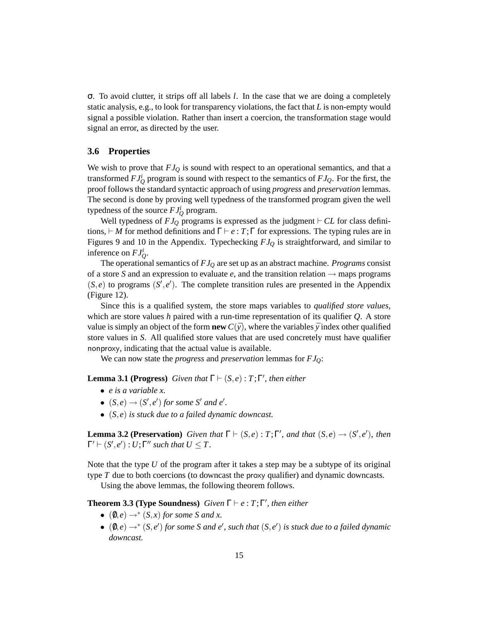σ. To avoid clutter, it strips off all labels *l*. In the case that we are doing a completely static analysis, e.g., to look for transparency violations, the fact that *L* is non-empty would signal a possible violation. Rather than insert a coercion, the transformation stage would signal an error, as directed by the user.

### **3.6 Properties**

We wish to prove that *FJ<sup>Q</sup>* is sound with respect to an operational semantics, and that a transformed  $FJ_Q^i$  program is sound with respect to the semantics of  $FJ_Q$ . For the first, the proof follows the standard syntactic approach of using *progress* and *preservation* lemmas. The second is done by proving well typedness of the transformed program given the well typedness of the source  $FJ_Q^i$  program.

Well typedness of  $FJ_Q$  programs is expressed as the judgment  $\vdash CL$  for class definitions,  $\vdash M$  for method definitions and  $\Gamma \vdash e : T; \Gamma$  for expressions. The typing rules are in Figures 9 and 10 in the Appendix. Typechecking *FJ<sup>Q</sup>* is straightforward, and similar to inference on  $FJ_Q^i$ .

The operational semantics of *FJ<sup>Q</sup>* are set up as an abstract machine. *Programs* consist of a store *S* and an expression to evaluate  $e$ , and the transition relation  $\rightarrow$  maps programs  $(S, e)$  to programs  $(S', e')$ . The complete transition rules are presented in the Appendix (Figure 12).

Since this is a qualified system, the store maps variables to *qualified store values*, which are store values *h* paired with a run-time representation of its qualifier *Q*. A store value is simply an object of the form **new**  $C(\bar{y})$ , where the variables  $\bar{y}$  index other qualified store values in *S*. All qualified store values that are used concretely must have qualifier nonproxy, indicating that the actual value is available.

We can now state the *progress* and *preservation* lemmas for *FJQ*:

**Lemma 3.1 (Progress)** *Given that*  $\Gamma \vdash (S, e) : T; \Gamma'$ *, then either* 

- *e is a variable x.*
- $(S, e) \rightarrow (S', e')$  for some S' and e'.
- (*S*,*e*) *is stuck due to a failed dynamic downcast.*

**Lemma 3.2 (Preservation)** *Given that*  $\Gamma \vdash (S, e) : T; \Gamma'$ *, and that*  $(S, e) \rightarrow (S', e')$ *, then*  $\Gamma' \vdash (S', e') : U; \Gamma''$  such that  $U \leq T$ .

Note that the type *U* of the program after it takes a step may be a subtype of its original type *T* due to both coercions (to downcast the proxy qualifier) and dynamic downcasts.

Using the above lemmas, the following theorem follows.

**Theorem 3.3 (Type Soundness)** *Given*  $\Gamma \vdash e : T; \Gamma'$ *, then either* 

- $(0, e) \rightarrow^* (S, x)$  *for some S and x.*
- $\bullet$  (0,*e*)  $\rightarrow^*$  (*S*,*e'*) for some *S* and *e'*, such that (*S*,*e'*) is stuck due to a failed dynamic *downcast.*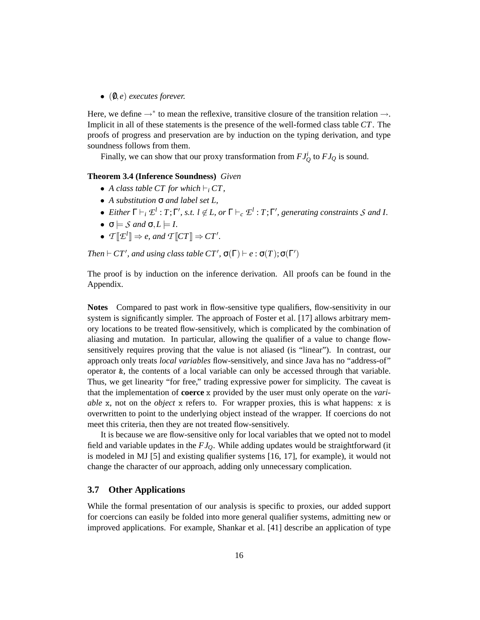• (0/,*e*) *executes forever.*

Here, we define  $\rightarrow^*$  to mean the reflexive, transitive closure of the transition relation  $\rightarrow$ . Implicit in all of these statements is the presence of the well-formed class table *CT*. The proofs of progress and preservation are by induction on the typing derivation, and type soundness follows from them.

Finally, we can show that our proxy transformation from  $FJ_Q^i$  to  $FJ_Q$  is sound.

### **Theorem 3.4 (Inference Soundness)** *Given*

- A class table CT for which  $\vdash_i$  CT,
- *A substitution* σ *and label set L,*
- *Either*  $\Gamma \vdash_i \mathcal{L}^l : T; \Gamma', s.t. \ l \notin L$ , or  $\Gamma \vdash_c \mathcal{L}^l : T; \Gamma',$  generating constraints S and I.
- $\bullet \ \sigma \models \mathcal{S} \text{ and } \sigma, L \models I.$
- $T[\mathcal{I}^l] \Rightarrow e$ , and  $T[\mathcal{C}T] \Rightarrow CT'.$

*Then*  $\vdash$  *CT'*, *and using class table CT'*,  $\sigma(\Gamma) \vdash e : \sigma(T); \sigma(\Gamma')$ 

The proof is by induction on the inference derivation. All proofs can be found in the Appendix.

**Notes** Compared to past work in flow-sensitive type qualifiers, flow-sensitivity in our system is significantly simpler. The approach of Foster et al. [17] allows arbitrary memory locations to be treated flow-sensitively, which is complicated by the combination of aliasing and mutation. In particular, allowing the qualifier of a value to change flowsensitively requires proving that the value is not aliased (is "linear"). In contrast, our approach only treats *local variables* flow-sensitively, and since Java has no "address-of" operator &, the contents of a local variable can only be accessed through that variable. Thus, we get linearity "for free," trading expressive power for simplicity. The caveat is that the implementation of **coerce** x provided by the user must only operate on the *variable* x, not on the *object* x refers to. For wrapper proxies, this is what happens: x is overwritten to point to the underlying object instead of the wrapper. If coercions do not meet this criteria, then they are not treated flow-sensitively.

It is because we are flow-sensitive only for local variables that we opted not to model field and variable updates in the *FJQ*. While adding updates would be straightforward (it is modeled in MJ [5] and existing qualifier systems [16, 17], for example), it would not change the character of our approach, adding only unnecessary complication.

#### **3.7 Other Applications**

While the formal presentation of our analysis is specific to proxies, our added support for coercions can easily be folded into more general qualifier systems, admitting new or improved applications. For example, Shankar et al. [41] describe an application of type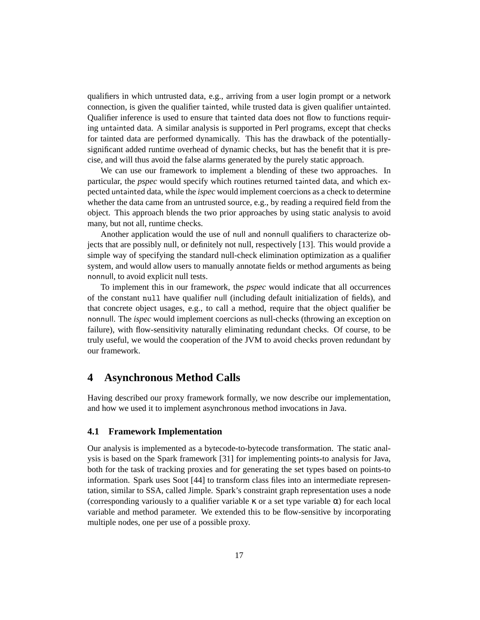qualifiers in which untrusted data, e.g., arriving from a user login prompt or a network connection, is given the qualifier tainted, while trusted data is given qualifier untainted. Qualifier inference is used to ensure that tainted data does not flow to functions requiring untainted data. A similar analysis is supported in Perl programs, except that checks for tainted data are performed dynamically. This has the drawback of the potentiallysignificant added runtime overhead of dynamic checks, but has the benefit that it is precise, and will thus avoid the false alarms generated by the purely static approach.

We can use our framework to implement a blending of these two approaches. In particular, the *pspec* would specify which routines returned tainted data, and which expected untainted data, while the *ispec* would implement coercions as a check to determine whether the data came from an untrusted source, e.g., by reading a required field from the object. This approach blends the two prior approaches by using static analysis to avoid many, but not all, runtime checks.

Another application would the use of null and nonnull qualifiers to characterize objects that are possibly null, or definitely not null, respectively [13]. This would provide a simple way of specifying the standard null-check elimination optimization as a qualifier system, and would allow users to manually annotate fields or method arguments as being nonnull, to avoid explicit null tests.

To implement this in our framework, the *pspec* would indicate that all occurrences of the constant null have qualifier null (including default initialization of fields), and that concrete object usages, e.g., to call a method, require that the object qualifier be nonnull. The *ispec* would implement coercions as null-checks (throwing an exception on failure), with flow-sensitivity naturally eliminating redundant checks. Of course, to be truly useful, we would the cooperation of the JVM to avoid checks proven redundant by our framework.

## **4 Asynchronous Method Calls**

Having described our proxy framework formally, we now describe our implementation, and how we used it to implement asynchronous method invocations in Java.

### **4.1 Framework Implementation**

Our analysis is implemented as a bytecode-to-bytecode transformation. The static analysis is based on the Spark framework [31] for implementing points-to analysis for Java, both for the task of tracking proxies and for generating the set types based on points-to information. Spark uses Soot [44] to transform class files into an intermediate representation, similar to SSA, called Jimple. Spark's constraint graph representation uses a node (corresponding variously to a qualifier variable  $\kappa$  or a set type variable  $\alpha$ ) for each local variable and method parameter. We extended this to be flow-sensitive by incorporating multiple nodes, one per use of a possible proxy.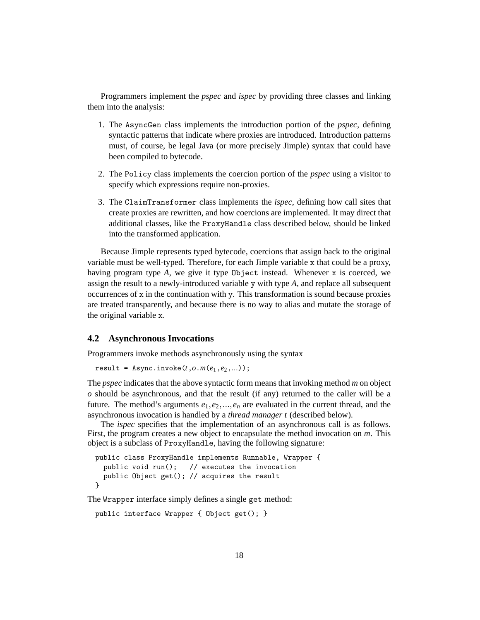Programmers implement the *pspec* and *ispec* by providing three classes and linking them into the analysis:

- 1. The AsyncGen class implements the introduction portion of the *pspec*, defining syntactic patterns that indicate where proxies are introduced. Introduction patterns must, of course, be legal Java (or more precisely Jimple) syntax that could have been compiled to bytecode.
- 2. The Policy class implements the coercion portion of the *pspec* using a visitor to specify which expressions require non-proxies.
- 3. The ClaimTransformer class implements the *ispec*, defining how call sites that create proxies are rewritten, and how coercions are implemented. It may direct that additional classes, like the ProxyHandle class described below, should be linked into the transformed application.

Because Jimple represents typed bytecode, coercions that assign back to the original variable must be well-typed. Therefore, for each Jimple variable x that could be a proxy, having program type *A*, we give it type Object instead. Whenever x is coerced, we assign the result to a newly-introduced variable y with type *A*, and replace all subsequent occurrences of x in the continuation with y. This transformation is sound because proxies are treated transparently, and because there is no way to alias and mutate the storage of the original variable x.

### **4.2 Asynchronous Invocations**

Programmers invoke methods asynchronously using the syntax

```
result = Async.inooke(t, o.m(e<sub>1</sub>, e<sub>2</sub>,...));
```
The *pspec* indicates that the above syntactic form means that invoking method *m* on object *o* should be asynchronous, and that the result (if any) returned to the caller will be a future. The method's arguments  $e_1, e_2, ..., e_n$  are evaluated in the current thread, and the asynchronous invocation is handled by a *thread manager t* (described below).

The *ispec* specifies that the implementation of an asynchronous call is as follows. First, the program creates a new object to encapsulate the method invocation on *m*. This object is a subclass of ProxyHandle, having the following signature:

```
public class ProxyHandle implements Runnable, Wrapper {
  public void run(); // executes the invocation
  public Object get(); // acquires the result
}
```
The Wrapper interface simply defines a single get method:

```
public interface Wrapper { Object get(); }
```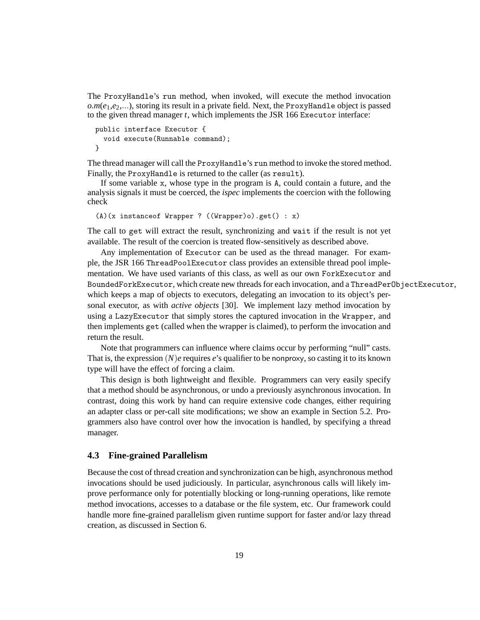The ProxyHandle's run method, when invoked, will execute the method invocation  $o.m(e_1,e_2,...)$ , storing its result in a private field. Next, the ProxyHandle object is passed to the given thread manager *t*, which implements the JSR 166 Executor interface:

```
public interface Executor {
  void execute(Runnable command);
}
```
The thread manager will call the ProxyHandle's run method to invoke the stored method. Finally, the ProxyHandle is returned to the caller (as result).

If some variable x, whose type in the program is A, could contain a future, and the analysis signals it must be coerced, the *ispec* implements the coercion with the following check

```
(A)(x instanceof Wrapper ? ((Wrapper)o).get() : x)
```
The call to get will extract the result, synchronizing and wait if the result is not yet available. The result of the coercion is treated flow-sensitively as described above.

Any implementation of Executor can be used as the thread manager. For example, the JSR 166 ThreadPoolExecutor class provides an extensible thread pool implementation. We have used variants of this class, as well as our own ForkExecutor and BoundedForkExecutor, which create new threads for each invocation, and a ThreadPerObjectExecutor, which keeps a map of objects to executors, delegating an invocation to its object's personal executor, as with *active objects* [30]. We implement lazy method invocation by using a LazyExecutor that simply stores the captured invocation in the Wrapper, and then implements get (called when the wrapper is claimed), to perform the invocation and return the result.

Note that programmers can influence where claims occur by performing "null" casts. That is, the expression (*N*)*e* requires *e*'s qualifier to be nonproxy, so casting it to its known type will have the effect of forcing a claim.

This design is both lightweight and flexible. Programmers can very easily specify that a method should be asynchronous, or undo a previously asynchronous invocation. In contrast, doing this work by hand can require extensive code changes, either requiring an adapter class or per-call site modifications; we show an example in Section 5.2. Programmers also have control over how the invocation is handled, by specifying a thread manager.

### **4.3 Fine-grained Parallelism**

Because the cost of thread creation and synchronization can be high, asynchronous method invocations should be used judiciously. In particular, asynchronous calls will likely improve performance only for potentially blocking or long-running operations, like remote method invocations, accesses to a database or the file system, etc. Our framework could handle more fine-grained parallelism given runtime support for faster and/or lazy thread creation, as discussed in Section 6.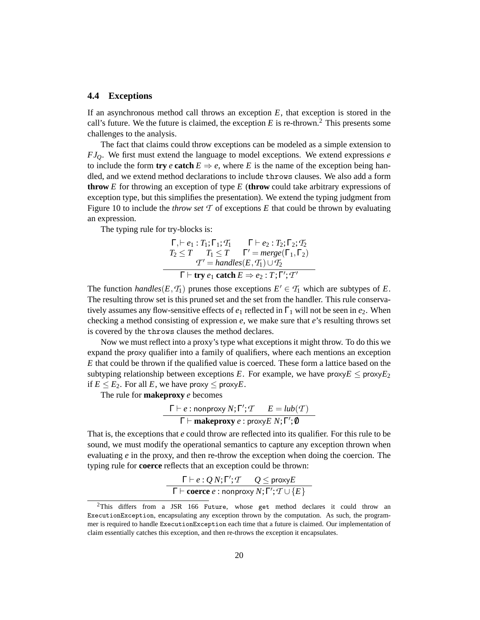#### **4.4 Exceptions**

If an asynchronous method call throws an exception *E*, that exception is stored in the call's future. We the future is claimed, the exception  $E$  is re-thrown.<sup>2</sup> This presents some challenges to the analysis.

The fact that claims could throw exceptions can be modeled as a simple extension to *FJQ*. We first must extend the language to model exceptions. We extend expressions *e* to include the form **try** *e* **catch**  $E \Rightarrow e$ , where *E* is the name of the exception being handled, and we extend method declarations to include throws clauses. We also add a form **throw** *E* for throwing an exception of type *E* (**throw** could take arbitrary expressions of exception type, but this simplifies the presentation). We extend the typing judgment from Figure 10 to include the *throw set*  $\mathcal T$  of exceptions  $E$  that could be thrown by evaluating an expression.

The typing rule for try-blocks is:

$$
\Gamma, \vdash e_1 : T_1; \Gamma_1; T_1 \qquad \Gamma \vdash e_2 : T_2; \Gamma_2; T_2
$$
\n
$$
T_2 \leq T \qquad T_1 \leq T \qquad \Gamma' = merge(\Gamma_1, \Gamma_2)
$$
\n
$$
T' = handles(E, T_1) \cup T_2
$$
\n
$$
\Gamma \vdash \text{try } e_1 \text{ catch } E \Rightarrow e_2 : T; \Gamma'; T'
$$

The function *handles*( $E, T_1$ ) prunes those exceptions  $E' \in T_1$  which are subtypes of  $E$ . The resulting throw set is this pruned set and the set from the handler. This rule conservatively assumes any flow-sensitive effects of *e*<sup>1</sup> reflected in Γ<sup>1</sup> will not be seen in *e*2. When checking a method consisting of expression *e*, we make sure that *e*'s resulting throws set is covered by the throws clauses the method declares.

Now we must reflect into a proxy's type what exceptions it might throw. To do this we expand the proxy qualifier into a family of qualifiers, where each mentions an exception *E* that could be thrown if the qualified value is coerced. These form a lattice based on the subtyping relationship between exceptions *E*. For example, we have  $\text{prox}_{\mathbf{Z}} \leq \text{prox}_{\mathbf{Z}}$ if  $E \leq E_2$ . For all *E*, we have proxy  $\leq$  proxy*E*.

The rule for **makeproxy** *e* becomes

$$
\Gamma \vdash e : \text{nonproxy } N; \Gamma'; T \qquad E = lub(T)
$$
  

$$
\Gamma \vdash \text{makeproxy } e : \text{proxy } E \ N; \Gamma'; \emptyset
$$

That is, the exceptions that *e* could throw are reflected into its qualifier. For this rule to be sound, we must modify the operational semantics to capture any exception thrown when evaluating *e* in the proxy, and then re-throw the exception when doing the coercion. The typing rule for **coerce** reflects that an exception could be thrown:

$$
\frac{\Gamma \vdash e:Q \, N; \Gamma'; T \quad Q \leq \text{proxy} E}{\Gamma \vdash \text{coerce } e : \text{nonprovy} \, N; \Gamma'; T \cup \{E\}}
$$

<sup>&</sup>lt;sup>2</sup>This differs from a JSR 166 Future, whose get method declares it could throw an ExecutionException, encapsulating any exception thrown by the computation. As such, the programmer is required to handle ExecutionException each time that a future is claimed. Our implementation of claim essentially catches this exception, and then re-throws the exception it encapsulates.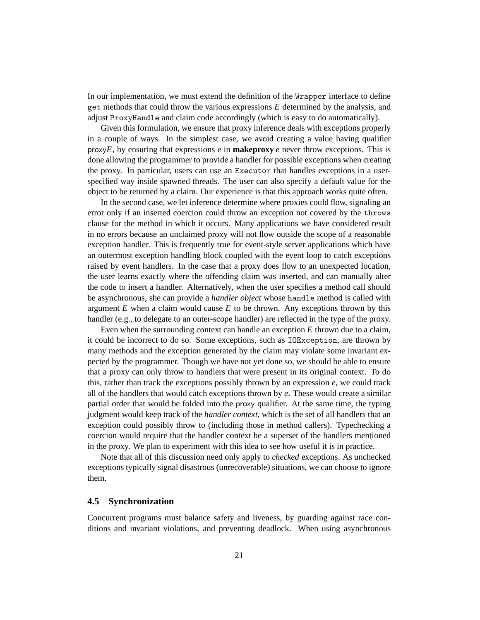In our implementation, we must extend the definition of the Wrapper interface to define get methods that could throw the various expressions *E* determined by the analysis, and adjust ProxyHandle and claim code accordingly (which is easy to do automatically).

Given this formulation, we ensure that proxy inference deals with exceptions properly in a couple of ways. In the simplest case, we avoid creating a value having qualifier proxy*E*, by ensuring that expressions *e* in **makeproxy** *e* never throw exceptions. This is done allowing the programmer to provide a handler for possible exceptions when creating the proxy. In particular, users can use an Executor that handles exceptions in a userspecified way inside spawned threads. The user can also specify a default value for the object to be returned by a claim. Our experience is that this approach works quite often.

In the second case, we let inference determine where proxies could flow, signaling an error only if an inserted coercion could throw an exception not covered by the throws clause for the method in which it occurs. Many applications we have considered result in no errors because an unclaimed proxy will not flow outside the scope of a reasonable exception handler. This is frequently true for event-style server applications which have an outermost exception handling block coupled with the event loop to catch exceptions raised by event handlers. In the case that a proxy does flow to an unexpected location, the user learns exactly where the offending claim was inserted, and can manually alter the code to insert a handler. Alternatively, when the user specifies a method call should be asynchronous, she can provide a *handler object* whose handle method is called with argument  $E$  when a claim would cause  $E$  to be thrown. Any exceptions thrown by this handler (e.g., to delegate to an outer-scope handler) are reflected in the type of the proxy.

Even when the surrounding context can handle an exception *E* thrown due to a claim, it could be incorrect to do so. Some exceptions, such as IOException, are thrown by many methods and the exception generated by the claim may violate some invariant expected by the programmer. Though we have not yet done so, we should be able to ensure that a proxy can only throw to handlers that were present in its original context. To do this, rather than track the exceptions possibly thrown by an expression *e*, we could track all of the handlers that would catch exceptions thrown by *e*. These would create a similar partial order that would be folded into the proxy qualifier. At the same time, the typing judgment would keep track of the *handler context*, which is the set of all handlers that an exception could possibly throw to (including those in method callers). Typechecking a coercion would require that the handler context be a superset of the handlers mentioned in the proxy. We plan to experiment with this idea to see how useful it is in practice.

Note that all of this discussion need only apply to *checked* exceptions. As unchecked exceptions typically signal disastrous (unrecoverable) situations, we can choose to ignore them.

### **4.5 Synchronization**

Concurrent programs must balance safety and liveness, by guarding against race conditions and invariant violations, and preventing deadlock. When using asynchronous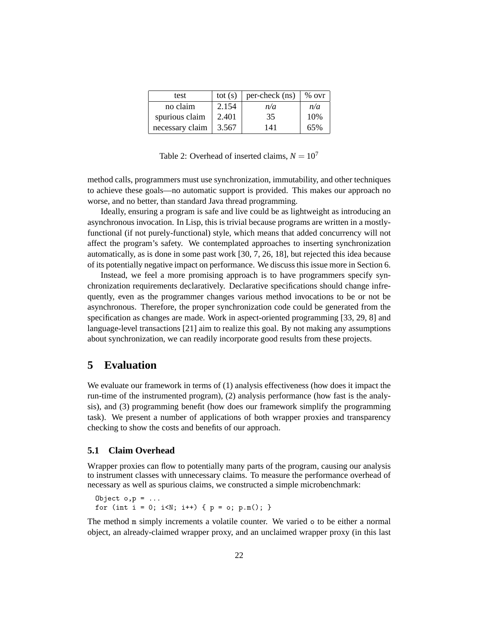| test            | tot $(s)$ | per-check (ns) | $%$ ovr |
|-----------------|-----------|----------------|---------|
| no claim        | 2.154     | n/a            | n/a     |
| spurious claim  | 2.401     | 35             | 10%     |
| necessary claim | 3.567     | 141            | 65%     |

Table 2: Overhead of inserted claims,  $N = 10<sup>7</sup>$ 

method calls, programmers must use synchronization, immutability, and other techniques to achieve these goals—no automatic support is provided. This makes our approach no worse, and no better, than standard Java thread programming.

Ideally, ensuring a program is safe and live could be as lightweight as introducing an asynchronous invocation. In Lisp, this is trivial because programs are written in a mostlyfunctional (if not purely-functional) style, which means that added concurrency will not affect the program's safety. We contemplated approaches to inserting synchronization automatically, as is done in some past work [30, 7, 26, 18], but rejected this idea because of its potentially negative impact on performance. We discuss this issue more in Section 6.

Instead, we feel a more promising approach is to have programmers specify synchronization requirements declaratively. Declarative specifications should change infrequently, even as the programmer changes various method invocations to be or not be asynchronous. Therefore, the proper synchronization code could be generated from the specification as changes are made. Work in aspect-oriented programming [33, 29, 8] and language-level transactions [21] aim to realize this goal. By not making any assumptions about synchronization, we can readily incorporate good results from these projects.

## **5 Evaluation**

We evaluate our framework in terms of (1) analysis effectiveness (how does it impact the run-time of the instrumented program), (2) analysis performance (how fast is the analysis), and (3) programming benefit (how does our framework simplify the programming task). We present a number of applications of both wrapper proxies and transparency checking to show the costs and benefits of our approach.

### **5.1 Claim Overhead**

Wrapper proxies can flow to potentially many parts of the program, causing our analysis to instrument classes with unnecessary claims. To measure the performance overhead of necessary as well as spurious claims, we constructed a simple microbenchmark:

```
Object o, p = \ldotsfor (int i = 0; i \le N; i++) { p = o; p.m(); }
```
The method m simply increments a volatile counter. We varied o to be either a normal object, an already-claimed wrapper proxy, and an unclaimed wrapper proxy (in this last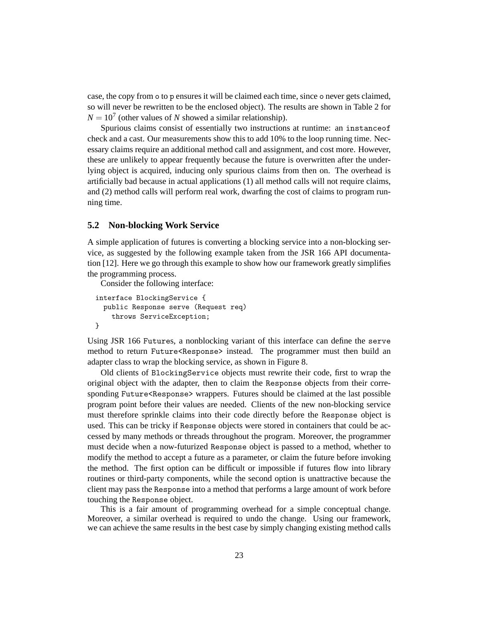case, the copy from o to p ensures it will be claimed each time, since o never gets claimed, so will never be rewritten to be the enclosed object). The results are shown in Table 2 for  $N = 10<sup>7</sup>$  (other values of *N* showed a similar relationship).

Spurious claims consist of essentially two instructions at runtime: an instanceof check and a cast. Our measurements show this to add 10% to the loop running time. Necessary claims require an additional method call and assignment, and cost more. However, these are unlikely to appear frequently because the future is overwritten after the underlying object is acquired, inducing only spurious claims from then on. The overhead is artificially bad because in actual applications (1) all method calls will not require claims, and (2) method calls will perform real work, dwarfing the cost of claims to program running time.

### **5.2 Non-blocking Work Service**

A simple application of futures is converting a blocking service into a non-blocking service, as suggested by the following example taken from the JSR 166 API documentation [12]. Here we go through this example to show how our framework greatly simplifies the programming process.

Consider the following interface:

```
interface BlockingService {
  public Response serve (Request req)
    throws ServiceException;
}
```
Using JSR 166 Futures, a nonblocking variant of this interface can define the serve method to return Future<Response> instead. The programmer must then build an adapter class to wrap the blocking service, as shown in Figure 8.

Old clients of BlockingService objects must rewrite their code, first to wrap the original object with the adapter, then to claim the Response objects from their corresponding Future<Response> wrappers. Futures should be claimed at the last possible program point before their values are needed. Clients of the new non-blocking service must therefore sprinkle claims into their code directly before the Response object is used. This can be tricky if Response objects were stored in containers that could be accessed by many methods or threads throughout the program. Moreover, the programmer must decide when a now-futurized Response object is passed to a method, whether to modify the method to accept a future as a parameter, or claim the future before invoking the method. The first option can be difficult or impossible if futures flow into library routines or third-party components, while the second option is unattractive because the client may pass the Response into a method that performs a large amount of work before touching the Response object.

This is a fair amount of programming overhead for a simple conceptual change. Moreover, a similar overhead is required to undo the change. Using our framework, we can achieve the same results in the best case by simply changing existing method calls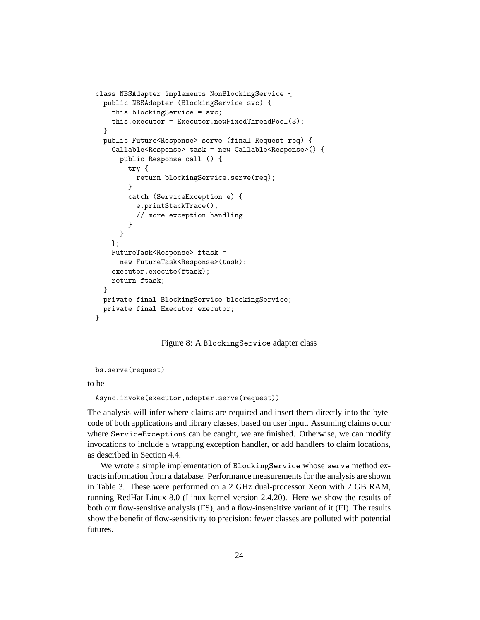```
class NBSAdapter implements NonBlockingService {
  public NBSAdapter (BlockingService svc) {
    this.blockingService = svc;
    this.executor = Executor.newFixedThreadPool(3);
  }
 public Future<Response> serve (final Request req) {
   Callable<Response> task = new Callable<Response>() {
      public Response call () {
        try {
          return blockingService.serve(req);
        }
        catch (ServiceException e) {
          e.printStackTrace();
          // more exception handling
       }
     }
    };
   FutureTask<Response> ftask =
      new FutureTask<Response>(task);
    executor.execute(ftask);
    return ftask;
  }
 private final BlockingService blockingService;
 private final Executor executor;
}
```
Figure 8: A BlockingService adapter class

bs.serve(request)

to be

```
Async.invoke(executor,adapter.serve(request))
```
The analysis will infer where claims are required and insert them directly into the bytecode of both applications and library classes, based on user input. Assuming claims occur where ServiceExceptions can be caught, we are finished. Otherwise, we can modify invocations to include a wrapping exception handler, or add handlers to claim locations, as described in Section 4.4.

We wrote a simple implementation of BlockingService whose serve method extracts information from a database. Performance measurements for the analysis are shown in Table 3. These were performed on a 2 GHz dual-processor Xeon with 2 GB RAM, running RedHat Linux 8.0 (Linux kernel version 2.4.20). Here we show the results of both our flow-sensitive analysis (FS), and a flow-insensitive variant of it (FI). The results show the benefit of flow-sensitivity to precision: fewer classes are polluted with potential futures.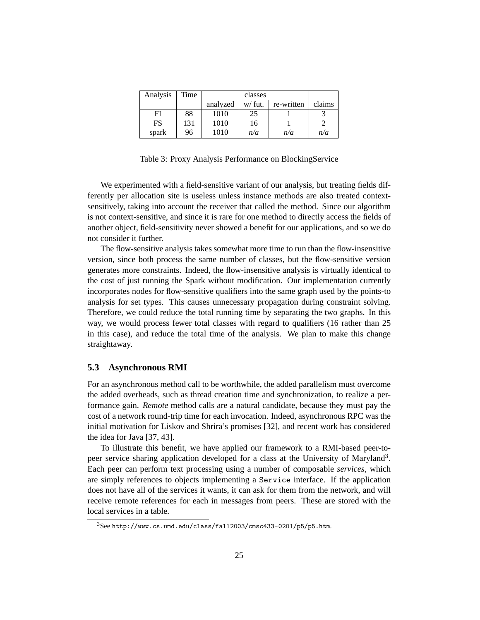| Analysis | Time |          |         |            |        |
|----------|------|----------|---------|------------|--------|
|          |      | analyzed | w/ fut. | re-written | claims |
| FI       | 88   | 1010     | 25      |            |        |
| FS       | 131  | 1010     | 16      |            |        |
| spark    | 96   | 1010     | n/a     | n/a        | n/a    |

Table 3: Proxy Analysis Performance on BlockingService

We experimented with a field-sensitive variant of our analysis, but treating fields differently per allocation site is useless unless instance methods are also treated contextsensitively, taking into account the receiver that called the method. Since our algorithm is not context-sensitive, and since it is rare for one method to directly access the fields of another object, field-sensitivity never showed a benefit for our applications, and so we do not consider it further.

The flow-sensitive analysis takes somewhat more time to run than the flow-insensitive version, since both process the same number of classes, but the flow-sensitive version generates more constraints. Indeed, the flow-insensitive analysis is virtually identical to the cost of just running the Spark without modification. Our implementation currently incorporates nodes for flow-sensitive qualifiers into the same graph used by the points-to analysis for set types. This causes unnecessary propagation during constraint solving. Therefore, we could reduce the total running time by separating the two graphs. In this way, we would process fewer total classes with regard to qualifiers (16 rather than 25 in this case), and reduce the total time of the analysis. We plan to make this change straightaway.

### **5.3 Asynchronous RMI**

For an asynchronous method call to be worthwhile, the added parallelism must overcome the added overheads, such as thread creation time and synchronization, to realize a performance gain. *Remote* method calls are a natural candidate, because they must pay the cost of a network round-trip time for each invocation. Indeed, asynchronous RPC was the initial motivation for Liskov and Shrira's promises [32], and recent work has considered the idea for Java [37, 43].

To illustrate this benefit, we have applied our framework to a RMI-based peer-topeer service sharing application developed for a class at the University of Maryland<sup>3</sup>. Each peer can perform text processing using a number of composable *services*, which are simply references to objects implementing a Service interface. If the application does not have all of the services it wants, it can ask for them from the network, and will receive remote references for each in messages from peers. These are stored with the local services in a table.

<sup>3</sup>See http://www.cs.umd.edu/class/fall2003/cmsc433-0201/p5/p5.htm.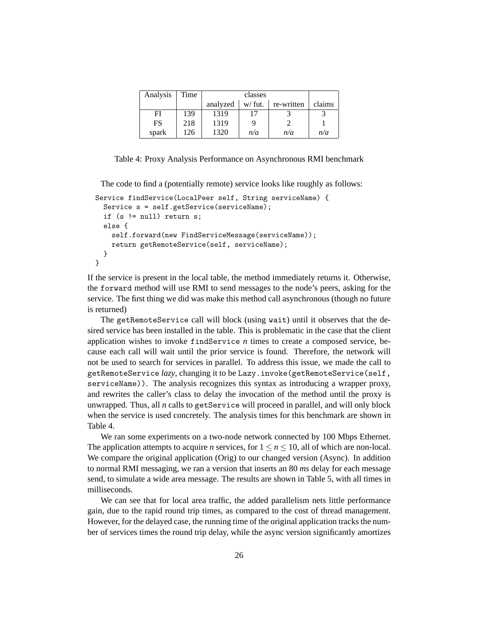| Analysis | Time |          |          |            |        |
|----------|------|----------|----------|------------|--------|
|          |      | analyzed | $w$ fut. | re-written | claims |
| FI       | 139  | 1319     |          |            |        |
| FS       | 218  | 1319     |          |            |        |
| spark    | 126  | 1320     | n/a      | n/a        | n/a    |

Table 4: Proxy Analysis Performance on Asynchronous RMI benchmark

The code to find a (potentially remote) service looks like roughly as follows:

```
Service findService(LocalPeer self, String serviceName) {
  Service s = self.getService(serviceName);
  if (s != null) return s;
  else {
    self.forward(new FindServiceMessage(serviceName));
    return getRemoteService(self, serviceName);
  }
}
```
If the service is present in the local table, the method immediately returns it. Otherwise, the forward method will use RMI to send messages to the node's peers, asking for the service. The first thing we did was make this method call asynchronous (though no future is returned)

The getRemoteService call will block (using wait) until it observes that the desired service has been installed in the table. This is problematic in the case that the client application wishes to invoke findService *n* times to create a composed service, because each call will wait until the prior service is found. Therefore, the network will not be used to search for services in parallel. To address this issue, we made the call to getRemoteService *lazy*, changing it to be Lazy.invoke(getRemoteService(self, serviceName)). The analysis recognizes this syntax as introducing a wrapper proxy, and rewrites the caller's class to delay the invocation of the method until the proxy is unwrapped. Thus, all *n* calls to getService will proceed in parallel, and will only block when the service is used concretely. The analysis times for this benchmark are shown in Table 4.

We ran some experiments on a two-node network connected by 100 Mbps Ethernet. The application attempts to acquire *n* services, for  $1 \le n \le 10$ , all of which are non-local. We compare the original application (Orig) to our changed version (Async). In addition to normal RMI messaging, we ran a version that inserts an 80 *ms* delay for each message send, to simulate a wide area message. The results are shown in Table 5, with all times in milliseconds.

We can see that for local area traffic, the added parallelism nets little performance gain, due to the rapid round trip times, as compared to the cost of thread management. However, for the delayed case, the running time of the original application tracks the number of services times the round trip delay, while the async version significantly amortizes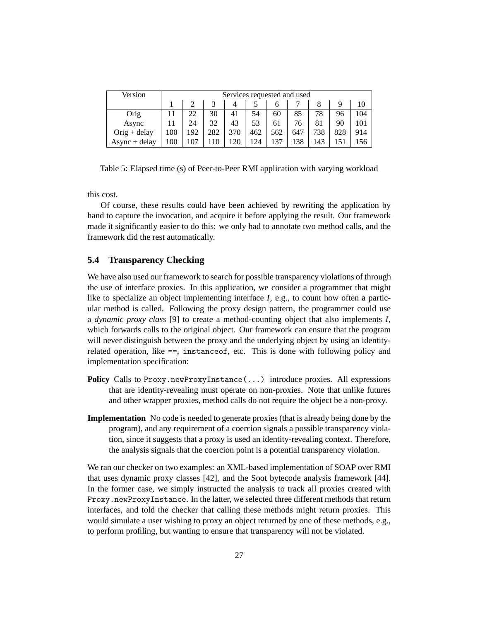| Version         |     | Services requested and used |     |     |     |     |     |     |     |     |
|-----------------|-----|-----------------------------|-----|-----|-----|-----|-----|-----|-----|-----|
|                 |     |                             |     |     |     |     |     |     | 10  |     |
| Orig            |     | 22                          | 30  | 41  | 54  | 60  | 85  | 78  | 96  | 104 |
| Async           |     | 24                          | 32  | 43  | 53  | 61  | 76  | 81  | 90  | 101 |
| $O$ rig + delay | 100 | 192                         | 282 | 370 | 462 | 562 | 647 | 738 | 828 | 914 |
| $Async + delay$ | 100 |                             |     | 120 | 124 | 137 | 138 | 143 |     |     |

Table 5: Elapsed time (s) of Peer-to-Peer RMI application with varying workload

this cost.

Of course, these results could have been achieved by rewriting the application by hand to capture the invocation, and acquire it before applying the result. Our framework made it significantly easier to do this: we only had to annotate two method calls, and the framework did the rest automatically.

### **5.4 Transparency Checking**

We have also used our framework to search for possible transparency violations of through the use of interface proxies. In this application, we consider a programmer that might like to specialize an object implementing interface *I*, e.g., to count how often a particular method is called. Following the proxy design pattern, the programmer could use a *dynamic proxy class* [9] to create a method-counting object that also implements *I*, which forwards calls to the original object. Our framework can ensure that the program will never distinguish between the proxy and the underlying object by using an identityrelated operation, like ==, instanceof, etc. This is done with following policy and implementation specification:

- **Policy** Calls to Proxy.newProxyInstance(...) introduce proxies. All expressions that are identity-revealing must operate on non-proxies. Note that unlike futures and other wrapper proxies, method calls do not require the object be a non-proxy.
- **Implementation** No code is needed to generate proxies (that is already being done by the program), and any requirement of a coercion signals a possible transparency violation, since it suggests that a proxy is used an identity-revealing context. Therefore, the analysis signals that the coercion point is a potential transparency violation.

We ran our checker on two examples: an XML-based implementation of SOAP over RMI that uses dynamic proxy classes [42], and the Soot bytecode analysis framework [44]. In the former case, we simply instructed the analysis to track all proxies created with Proxy.newProxyInstance. In the latter, we selected three different methods that return interfaces, and told the checker that calling these methods might return proxies. This would simulate a user wishing to proxy an object returned by one of these methods, e.g., to perform profiling, but wanting to ensure that transparency will not be violated.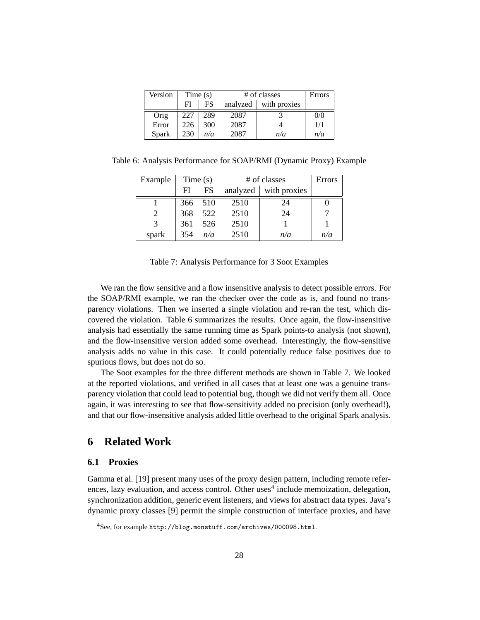| Version      |     | Time $(s)$ |          | # of classes | Errors |
|--------------|-----|------------|----------|--------------|--------|
|              | FI  | <b>FS</b>  | analyzed | with proxies |        |
| Orig         | 227 | 289        | 2087     |              | 0/0    |
| Error        | 226 | 300        | 2087     |              | 1/1    |
| <b>Spark</b> | 230 | n/a        | 2087     | n/a          | n/a    |

Table 6: Analysis Performance for SOAP/RMI (Dynamic Proxy) Example

| Example | Time(s) |     | # of classes | Errors       |     |
|---------|---------|-----|--------------|--------------|-----|
|         | FI      | FS  | analyzed     | with proxies |     |
|         | 366     | 510 | 2510         | 24           |     |
|         | 368     | 522 | 2510         | 24           |     |
| 3       | 361     | 526 | 2510         |              |     |
| spark   | 354     | n/a | 2510         | n/a          | n/a |

Table 7: Analysis Performance for 3 Soot Examples

We ran the flow sensitive and a flow insensitive analysis to detect possible errors. For the SOAP/RMI example, we ran the checker over the code as is, and found no transparency violations. Then we inserted a single violation and re-ran the test, which discovered the violation. Table 6 summarizes the results. Once again, the flow-insensitive analysis had essentially the same running time as Spark points-to analysis (not shown), and the flow-insensitive version added some overhead. Interestingly, the flow-sensitive analysis adds no value in this case. It could potentially reduce false positives due to spurious flows, but does not do so.

The Soot examples for the three different methods are shown in Table 7. We looked at the reported violations, and verified in all cases that at least one was a genuine transparency violation that could lead to potential bug, though we did not verify them all. Once again, it was interesting to see that flow-sensitivity added no precision (only overhead!), and that our flow-insensitive analysis added little overhead to the original Spark analysis.

## **6 Related Work**

### **6.1 Proxies**

Gamma et al. [19] present many uses of the proxy design pattern, including remote references, lazy evaluation, and access control. Other uses<sup>4</sup> include memoization, delegation, synchronization addition, generic event listeners, and views for abstract data types. Java's dynamic proxy classes [9] permit the simple construction of interface proxies, and have

<sup>4</sup>See, for example http://blog.monstuff.com/archives/000098.html.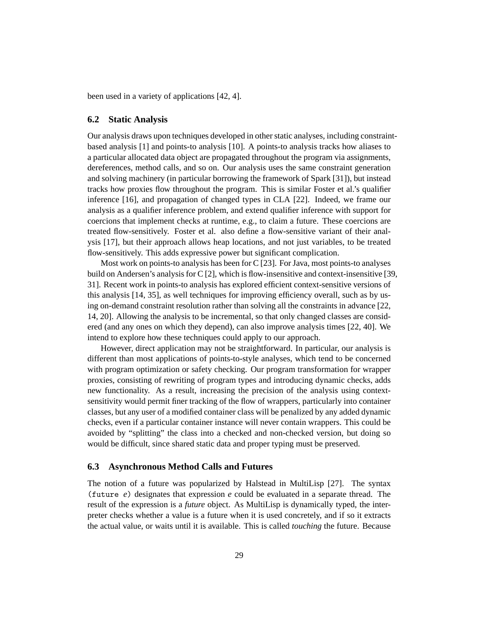been used in a variety of applications [42, 4].

#### **6.2 Static Analysis**

Our analysis draws upon techniques developed in other static analyses, including constraintbased analysis [1] and points-to analysis [10]. A points-to analysis tracks how aliases to a particular allocated data object are propagated throughout the program via assignments, dereferences, method calls, and so on. Our analysis uses the same constraint generation and solving machinery (in particular borrowing the framework of Spark [31]), but instead tracks how proxies flow throughout the program. This is similar Foster et al.'s qualifier inference [16], and propagation of changed types in CLA [22]. Indeed, we frame our analysis as a qualifier inference problem, and extend qualifier inference with support for coercions that implement checks at runtime, e.g., to claim a future. These coercions are treated flow-sensitively. Foster et al. also define a flow-sensitive variant of their analysis [17], but their approach allows heap locations, and not just variables, to be treated flow-sensitively. This adds expressive power but significant complication.

Most work on points-to analysis has been for C [23]. For Java, most points-to analyses build on Andersen's analysis for C [2], which is flow-insensitive and context-insensitive [39, 31]. Recent work in points-to analysis has explored efficient context-sensitive versions of this analysis [14, 35], as well techniques for improving efficiency overall, such as by using on-demand constraint resolution rather than solving all the constraints in advance [22, 14, 20]. Allowing the analysis to be incremental, so that only changed classes are considered (and any ones on which they depend), can also improve analysis times [22, 40]. We intend to explore how these techniques could apply to our approach.

However, direct application may not be straightforward. In particular, our analysis is different than most applications of points-to-style analyses, which tend to be concerned with program optimization or safety checking. Our program transformation for wrapper proxies, consisting of rewriting of program types and introducing dynamic checks, adds new functionality. As a result, increasing the precision of the analysis using contextsensitivity would permit finer tracking of the flow of wrappers, particularly into container classes, but any user of a modified container class will be penalized by any added dynamic checks, even if a particular container instance will never contain wrappers. This could be avoided by "splitting" the class into a checked and non-checked version, but doing so would be difficult, since shared static data and proper typing must be preserved.

### **6.3 Asynchronous Method Calls and Futures**

The notion of a future was popularized by Halstead in MultiLisp [27]. The syntax (future *e*) designates that expression *e* could be evaluated in a separate thread. The result of the expression is a *future* object. As MultiLisp is dynamically typed, the interpreter checks whether a value is a future when it is used concretely, and if so it extracts the actual value, or waits until it is available. This is called *touching* the future. Because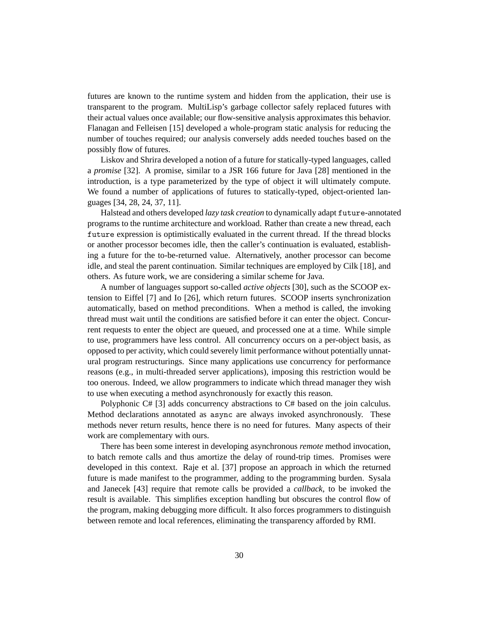futures are known to the runtime system and hidden from the application, their use is transparent to the program. MultiLisp's garbage collector safely replaced futures with their actual values once available; our flow-sensitive analysis approximates this behavior. Flanagan and Felleisen [15] developed a whole-program static analysis for reducing the number of touches required; our analysis conversely adds needed touches based on the possibly flow of futures.

Liskov and Shrira developed a notion of a future for statically-typed languages, called a *promise* [32]. A promise, similar to a JSR 166 future for Java [28] mentioned in the introduction, is a type parameterized by the type of object it will ultimately compute. We found a number of applications of futures to statically-typed, object-oriented languages [34, 28, 24, 37, 11].

Halstead and others developed *lazy task creation* to dynamically adapt future-annotated programs to the runtime architecture and workload. Rather than create a new thread, each future expression is optimistically evaluated in the current thread. If the thread blocks or another processor becomes idle, then the caller's continuation is evaluated, establishing a future for the to-be-returned value. Alternatively, another processor can become idle, and steal the parent continuation. Similar techniques are employed by Cilk [18], and others. As future work, we are considering a similar scheme for Java.

A number of languages support so-called *active objects* [30], such as the SCOOP extension to Eiffel [7] and Io [26], which return futures. SCOOP inserts synchronization automatically, based on method preconditions. When a method is called, the invoking thread must wait until the conditions are satisfied before it can enter the object. Concurrent requests to enter the object are queued, and processed one at a time. While simple to use, programmers have less control. All concurrency occurs on a per-object basis, as opposed to per activity, which could severely limit performance without potentially unnatural program restructurings. Since many applications use concurrency for performance reasons (e.g., in multi-threaded server applications), imposing this restriction would be too onerous. Indeed, we allow programmers to indicate which thread manager they wish to use when executing a method asynchronously for exactly this reason.

Polyphonic C# [3] adds concurrency abstractions to C# based on the join calculus. Method declarations annotated as async are always invoked asynchronously. These methods never return results, hence there is no need for futures. Many aspects of their work are complementary with ours.

There has been some interest in developing asynchronous *remote* method invocation, to batch remote calls and thus amortize the delay of round-trip times. Promises were developed in this context. Raje et al. [37] propose an approach in which the returned future is made manifest to the programmer, adding to the programming burden. Sysala and Janecek [43] require that remote calls be provided a *callback*, to be invoked the result is available. This simplifies exception handling but obscures the control flow of the program, making debugging more difficult. It also forces programmers to distinguish between remote and local references, eliminating the transparency afforded by RMI.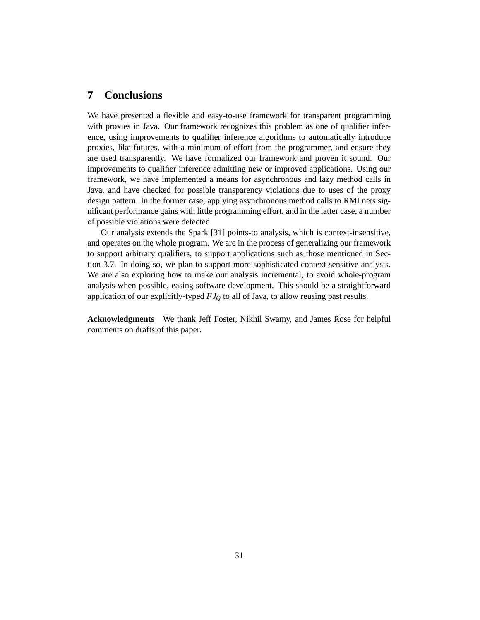## **7 Conclusions**

We have presented a flexible and easy-to-use framework for transparent programming with proxies in Java. Our framework recognizes this problem as one of qualifier inference, using improvements to qualifier inference algorithms to automatically introduce proxies, like futures, with a minimum of effort from the programmer, and ensure they are used transparently. We have formalized our framework and proven it sound. Our improvements to qualifier inference admitting new or improved applications. Using our framework, we have implemented a means for asynchronous and lazy method calls in Java, and have checked for possible transparency violations due to uses of the proxy design pattern. In the former case, applying asynchronous method calls to RMI nets significant performance gains with little programming effort, and in the latter case, a number of possible violations were detected.

Our analysis extends the Spark [31] points-to analysis, which is context-insensitive, and operates on the whole program. We are in the process of generalizing our framework to support arbitrary qualifiers, to support applications such as those mentioned in Section 3.7. In doing so, we plan to support more sophisticated context-sensitive analysis. We are also exploring how to make our analysis incremental, to avoid whole-program analysis when possible, easing software development. This should be a straightforward application of our explicitly-typed *FJ<sup>Q</sup>* to all of Java, to allow reusing past results.

**Acknowledgments** We thank Jeff Foster, Nikhil Swamy, and James Rose for helpful comments on drafts of this paper.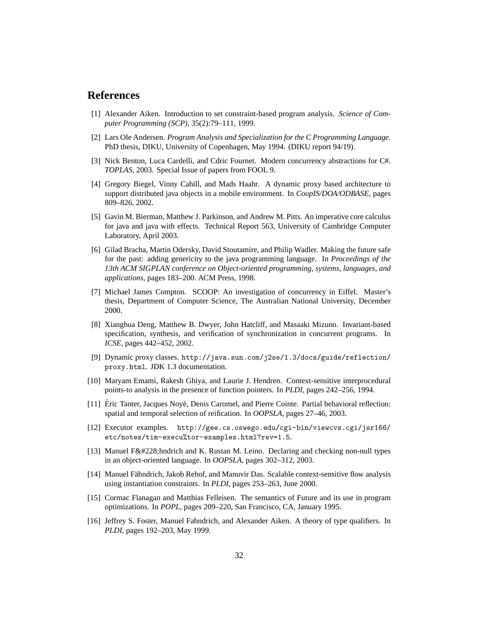## **References**

- [1] Alexander Aiken. Introduction to set constraint-based program analysis. *Science of Computer Programming (SCP)*, 35(2):79–111, 1999.
- [2] Lars Ole Andersen. *Program Analysis and Specialization for the C Programming Language*. PhD thesis, DIKU, University of Copenhagen, May 1994. (DIKU report 94/19).
- [3] Nick Benton, Luca Cardelli, and Cdric Fournet. Modern concurrency abstractions for C#. *TOPLAS*, 2003. Special Issue of papers from FOOL 9.
- [4] Gregory Biegel, Vinny Cahill, and Mads Haahr. A dynamic proxy based architecture to support distributed java objects in a mobile environment. In *CoopIS/DOA/ODBASE*, pages 809–826, 2002.
- [5] Gavin M. Bierman, Matthew J. Parkinson, and Andrew M. Pitts. An imperative core calculus for java and java with effects. Technical Report 563, University of Cambridge Computer Laboratory, April 2003.
- [6] Gilad Bracha, Martin Odersky, David Stoutamire, and Philip Wadler. Making the future safe for the past: adding genericity to the java programming language. In *Proceedings of the 13th ACM SIGPLAN conference on Object-oriented programming, systems, languages, and applications*, pages 183–200. ACM Press, 1998.
- [7] Michael James Compton. SCOOP: An investigation of concurrency in Eiffel. Master's thesis, Department of Computer Science, The Australian National University, December 2000.
- [8] Xianghua Deng, Matthew B. Dwyer, John Hatcliff, and Masaaki Mizuno. Invariant-based specification, synthesis, and verification of synchronization in concurrent programs. In *ICSE*, pages 442–452, 2002.
- [9] Dynamic proxy classes. http://java.sun.com/j2se/1.3/docs/guide/reflection/ proxy.html. JDK 1.3 documentation.
- [10] Maryam Emami, Rakesh Ghiya, and Laurie J. Hendren. Context-sensitive interprocedural points-to analysis in the presence of function pointers. In *PLDI*, pages 242–256, 1994.
- [11] Éric Tanter, Jacques Noyé, Denis Caromel, and Pierre Cointe. Partial behavioral reflection: spatial and temporal selection of reification. In *OOPSLA*, pages 27–46, 2003.
- [12] Executor examples. http://gee.cs.oswego.edu/cgi-bin/viewcvs.cgi/jsr166/ etc/notes/tim-execu%tor-examples.html?rev=1.5.
- [13] Manuel Fä hndrich and K. Rustan M. Leino. Declaring and checking non-null types in an object-oriented language. In *OOPSLA*, pages 302–312, 2003.
- [14] Manuel Fahndrich, Jakob Rehof, and Manuvir Das. Scalable context-sensitive flow analysis ¨ using instantiation constraints. In *PLDI*, pages 253–263, June 2000.
- [15] Cormac Flanagan and Matthias Felleisen. The semantics of Future and its use in program optimizations. In *POPL*, pages 209–220, San Francisco, CA, January 1995.
- [16] Jeffrey S. Foster, Manuel Fahndrich, and Alexander Aiken. A theory of type qualifiers. In *PLDI*, pages 192–203, May 1999.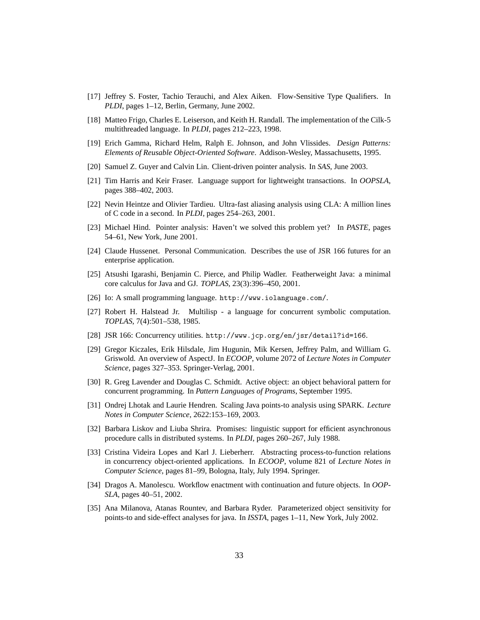- [17] Jeffrey S. Foster, Tachio Terauchi, and Alex Aiken. Flow-Sensitive Type Qualifiers. In *PLDI*, pages 1–12, Berlin, Germany, June 2002.
- [18] Matteo Frigo, Charles E. Leiserson, and Keith H. Randall. The implementation of the Cilk-5 multithreaded language. In *PLDI*, pages 212–223, 1998.
- [19] Erich Gamma, Richard Helm, Ralph E. Johnson, and John Vlissides. *Design Patterns: Elements of Reusable Object-Oriented Software*. Addison-Wesley, Massachusetts, 1995.
- [20] Samuel Z. Guyer and Calvin Lin. Client-driven pointer analysis. In *SAS*, June 2003.
- [21] Tim Harris and Keir Fraser. Language support for lightweight transactions. In *OOPSLA*, pages 388–402, 2003.
- [22] Nevin Heintze and Olivier Tardieu. Ultra-fast aliasing analysis using CLA: A million lines of C code in a second. In *PLDI*, pages 254–263, 2001.
- [23] Michael Hind. Pointer analysis: Haven't we solved this problem yet? In *PASTE*, pages 54–61, New York, June 2001.
- [24] Claude Hussenet. Personal Communication. Describes the use of JSR 166 futures for an enterprise application.
- [25] Atsushi Igarashi, Benjamin C. Pierce, and Philip Wadler. Featherweight Java: a minimal core calculus for Java and GJ. *TOPLAS*, 23(3):396–450, 2001.
- [26] Io: A small programming language. http://www.iolanguage.com/.
- [27] Robert H. Halstead Jr. Multilisp a language for concurrent symbolic computation. *TOPLAS*, 7(4):501–538, 1985.
- [28] JSR 166: Concurrency utilities. http://www.jcp.org/en/jsr/detail?id=166.
- [29] Gregor Kiczales, Erik Hilsdale, Jim Hugunin, Mik Kersen, Jeffrey Palm, and William G. Griswold. An overview of AspectJ. In *ECOOP*, volume 2072 of *Lecture Notes in Computer Science*, pages 327–353. Springer-Verlag, 2001.
- [30] R. Greg Lavender and Douglas C. Schmidt. Active object: an object behavioral pattern for concurrent programming. In *Pattern Languages of Programs*, September 1995.
- [31] Ondrej Lhotak and Laurie Hendren. Scaling Java points-to analysis using SPARK. *Lecture Notes in Computer Science*, 2622:153–169, 2003.
- [32] Barbara Liskov and Liuba Shrira. Promises: linguistic support for efficient asynchronous procedure calls in distributed systems. In *PLDI*, pages 260–267, July 1988.
- [33] Cristina Videira Lopes and Karl J. Lieberherr. Abstracting process-to-function relations in concurrency object-oriented applications. In *ECOOP*, volume 821 of *Lecture Notes in Computer Science*, pages 81–99, Bologna, Italy, July 1994. Springer.
- [34] Dragos A. Manolescu. Workflow enactment with continuation and future objects. In *OOP-SLA*, pages 40–51, 2002.
- [35] Ana Milanova, Atanas Rountev, and Barbara Ryder. Parameterized object sensitivity for points-to and side-effect analyses for java. In *ISSTA*, pages 1–11, New York, July 2002.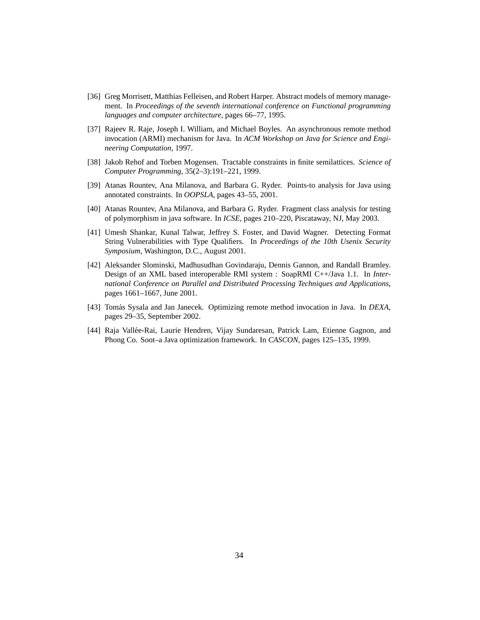- [36] Greg Morrisett, Matthias Felleisen, and Robert Harper. Abstract models of memory management. In *Proceedings of the seventh international conference on Functional programming languages and computer architecture*, pages 66–77, 1995.
- [37] Rajeev R. Raje, Joseph I. William, and Michael Boyles. An asynchronous remote method invocation (ARMI) mechanism for Java. In *ACM Workshop on Java for Science and Engineering Computation*, 1997.
- [38] Jakob Rehof and Torben Mogensen. Tractable constraints in finite semilattices. *Science of Computer Programming*, 35(2–3):191–221, 1999.
- [39] Atanas Rountev, Ana Milanova, and Barbara G. Ryder. Points-to analysis for Java using annotated constraints. In *OOPSLA*, pages 43–55, 2001.
- [40] Atanas Rountev, Ana Milanova, and Barbara G. Ryder. Fragment class analysis for testing of polymorphism in java software. In *ICSE*, pages 210–220, Piscataway, NJ, May 2003.
- [41] Umesh Shankar, Kunal Talwar, Jeffrey S. Foster, and David Wagner. Detecting Format String Vulnerabilities with Type Qualifiers. In *Proceedings of the 10th Usenix Security Symposium*, Washington, D.C., August 2001.
- [42] Aleksander Slominski, Madhusudhan Govindaraju, Dennis Gannon, and Randall Bramley. Design of an XML based interoperable RMI system : SoapRMI C++/Java 1.1. In *International Conference on Parallel and Distributed Processing Techniques and Applications*, pages 1661–1667, June 2001.
- [43] Tomás Sysala and Jan Janecek. Optimizing remote method invocation in Java. In *DEXA*, pages 29–35, September 2002.
- [44] Raja Vallee-Rai, Laurie Hendren, Vijay Sundaresan, Patrick Lam, Etienne Gagnon, and ´ Phong Co. Soot–a Java optimization framework. In *CASCON*, pages 125–135, 1999.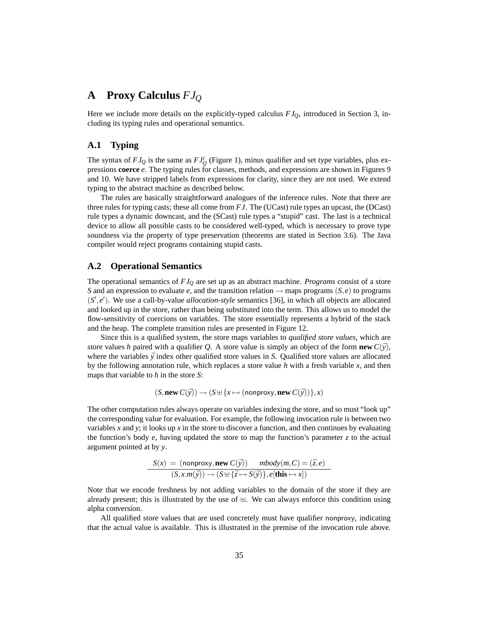# **A Proxy Calculus** *FJ<sup>Q</sup>*

Here we include more details on the explicitly-typed calculus *FJQ*, introduced in Section 3, including its typing rules and operational semantics.

### **A.1 Typing**

The syntax of  $FJ_Q$  is the same as  $FJ_Q^i$  (Figure 1), minus qualifier and set type variables, plus expressions **coerce** *e*. The typing rules for classes, methods, and expressions are shown in Figures 9 and 10. We have stripped labels from expressions for clarity, since they are not used. We extend typing to the abstract machine as described below.

The rules are basically straightforward analogues of the inference rules. Note that there are three rules for typing casts; these all come from *FJ*. The (UCast) rule types an upcast, the (DCast) rule types a dynamic downcast, and the (SCast) rule types a "stupid" cast. The last is a technical device to allow all possible casts to be considered well-typed, which is necessary to prove type soundness via the property of type preservation (theorems are stated in Section 3.6). The Java compiler would reject programs containing stupid casts.

### **A.2 Operational Semantics**

The operational semantics of *FJ<sup>Q</sup>* are set up as an abstract machine. *Programs* consist of a store *S* and an expression to evaluate *e*, and the transition relation  $\rightarrow$  maps programs (*S*,*e*) to programs (S', e'). We use a call-by-value *allocation-style* semantics [36], in which all objects are allocated and looked up in the store, rather than being substituted into the term. This allows us to model the flow-sensitivity of coercions on variables. The store essentially represents a hybrid of the stack and the heap. The complete transition rules are presented in Figure 12.

Since this is a qualified system, the store maps variables to *qualified store values*, which are store values *h* paired with a qualifier *Q*. A store value is simply an object of the form **new**  $C(\bar{v})$ , where the variables  $\bar{y}$  index other qualified store values in *S*. Qualified store values are allocated by the following annotation rule, which replaces a store value *h* with a fresh variable *x*, and then maps that variable to *h* in the store *S*:

$$
(S, \text{new } C(\bar{y})) \rightarrow (S \cup \{x \mapsto (\text{nonproxy}, \text{new } C(\bar{y}))\}, x)
$$

The other computation rules always operate on variables indexing the store, and so must "look up" the corresponding value for evaluation. For example, the following invocation rule is between two variables *x* and *y*; it looks up *x* in the store to discover a function, and then continues by evaluating the function's body  $e$ , having updated the store to map the function's parameter  $\zeta$  to the actual argument pointed at by *y*.

$$
S(x) = (\text{nonproxy}, \text{new } C(\bar{y})) \quad \text{mbody}(m, C) = (\bar{z}, e)
$$

$$
(S, x.m(\bar{y})) \rightarrow (S \uplus {\bar{z} \mapsto S(\bar{y})}, e[\text{this } \mapsto x])
$$

Note that we encode freshness by not adding variables to the domain of the store if they are already present; this is illustrated by the use of  $\oplus$ . We can always enforce this condition using alpha conversion.

All qualified store values that are used concretely must have qualifier nonproxy, indicating that the actual value is available. This is illustrated in the premise of the invocation rule above.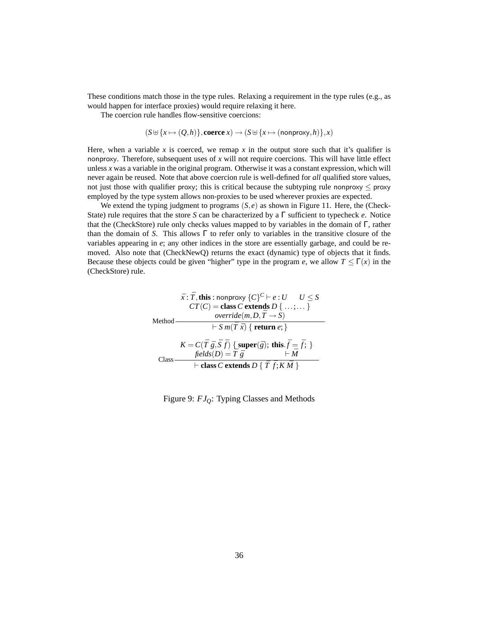These conditions match those in the type rules. Relaxing a requirement in the type rules (e.g., as would happen for interface proxies) would require relaxing it here.

The coercion rule handles flow-sensitive coercions:

 $(S \oplus \{x \mapsto (Q,h)\},\text{coerce } x) \to (S \oplus \{x \mapsto (\text{nonprov}_y,h)\},x)$ 

Here, when a variable  $x$  is coerced, we remap  $x$  in the output store such that it's qualifier is nonproxy. Therefore, subsequent uses of *x* will not require coercions. This will have little effect unless *x* was a variable in the original program. Otherwise it was a constant expression, which will never again be reused. Note that above coercion rule is well-defined for *all* qualified store values, not just those with qualifier proxy; this is critical because the subtyping rule nonproxy  $\leq$  proxy employed by the type system allows non-proxies to be used wherever proxies are expected.

We extend the typing judgment to programs  $(S, e)$  as shown in Figure 11. Here, the (Check-State) rule requires that the store *S* can be characterized by a Γ sufficient to typecheck *e*. Notice that the (CheckStore) rule only checks values mapped to by variables in the domain of  $\Gamma$ , rather than the domain of *S*. This allows  $\Gamma$  to refer only to variables in the transitive closure of the variables appearing in *e*; any other indices in the store are essentially garbage, and could be removed. Also note that (CheckNewQ) returns the exact (dynamic) type of objects that it finds. Because these objects could be given "higher" type in the program *e*, we allow  $T \leq \Gamma(x)$  in the (CheckStore) rule.

$$
\bar{x}: \bar{T}, \text{this}: \text{nonprox}_{\mathcal{Y}} \{C\}^C \vdash e: U \qquad U \leq S
$$
\n
$$
CT(C) = \text{class } C \text{ extends } D \{ \dots; \dots \}
$$
\n
$$
\text{Method} \longrightarrow \text{vertical}(m, D, \bar{T} \to S)
$$
\n
$$
\vdash S \ m(\bar{T} \ \bar{x}) \{ \text{ return } e; \}
$$
\n
$$
K = C(\bar{T} \ \bar{g}, \bar{S} \ \bar{f}) \{ \text{super}(\bar{g}); \text{ this.} \bar{f} = \bar{f}; \}
$$
\n
$$
\text{Class} \longrightarrow \text{class } C \text{ extends } D \{ \bar{T} \ \bar{f}; K \ \bar{M} \}
$$

Figure 9: *FJQ*: Typing Classes and Methods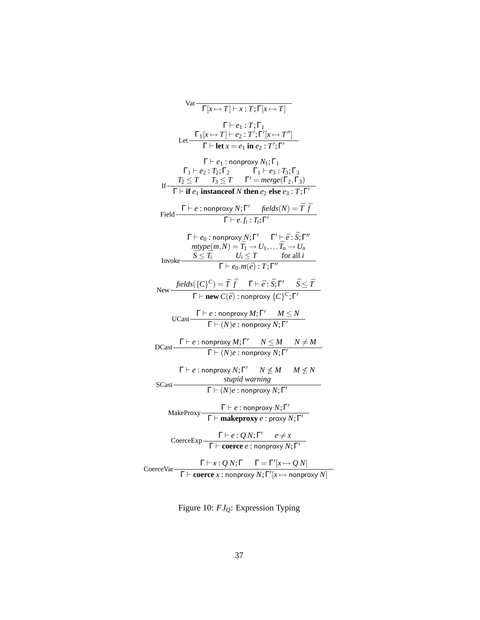Var 
$$
\frac{\Gamma}{\Gamma[x \rightarrow T] + x : T; \Gamma[x \rightarrow T]}
$$
  
\n $\frac{\Gamma}{\Gamma}[x \rightarrow T] + z : T; \Gamma[x \rightarrow T']}{\Gamma + \text{let } x = e_1 \text{ in } e_2 : T'; \Gamma'[x \rightarrow T'']}$   
\n $\frac{\Gamma}{\Gamma} = e_1 : \text{nonproxy } N_1; \Gamma_1$   
\n $\Gamma_1 \vdash e_2 : T_2; \Gamma_2$   $\Gamma_1 \vdash e_3 : T_3; \Gamma_3$   
\nIf  $\frac{T_2 \leq T}{T} : T_3 \leq T \quad \Gamma' = \text{merge}(\Gamma_2, \Gamma_3)$   
\nIf  $\frac{\Gamma}{\Gamma} \vdash \text{if } e_1 \text{ instance of } N \text{ then } e_2 \text{ else } e_3 : T; \Gamma'$   
\nField  $\frac{\Gamma}{\Gamma} = e : \text{nonproxy } N; \Gamma' \quad \text{fields}(N) = \overline{T} \overline{f}$   
\nField  $\frac{\Gamma}{\Gamma} = e : \text{nonproxy } N; \Gamma' \quad \text{fields}(N) = \overline{T} \overline{f}$   
\n $\frac{\Gamma}{\Gamma} = e_0 : \text{nonproxy } N; \Gamma' \quad \text{fields}(N) = \overline{T} \overline{f}$   
\n $\frac{\Gamma}{\Gamma} = e : \text{nonproxy } N; \Gamma' \quad \Gamma' \vdash \overline{e} : \overline{S}; \Gamma''$   
\n $\text{mtype} \quad \overline{S} \leq \overline{T} \quad U_i \leq T \quad \text{for all } i$   
\n $\Gamma \vdash e_0 \cdot m(\overline{e}) : T; \Gamma''$   
\nNew  $\overline{f} \vdash e : \text{nonproxy } M; \Gamma' \quad M \leq N$   
\n $\text{UCast} \quad \frac{\Gamma}{\Gamma} = e : \text{nonproxy } N; \Gamma' \quad M \leq N$   
\nUCast  $\frac{\Gamma}{\Gamma} = e : \text{nonproxy } N; \Gamma' \quad M \leq N$   
\n $\text{SCast} \quad \frac{\Gamma}{\Gamma} = e : \text{nonproxy } N; \Gamma' \quad N \leq M \quad N \neq M}{\Gamma \vdash (N)e : \text$ 

Figure 10: *FJQ*: Expression Typing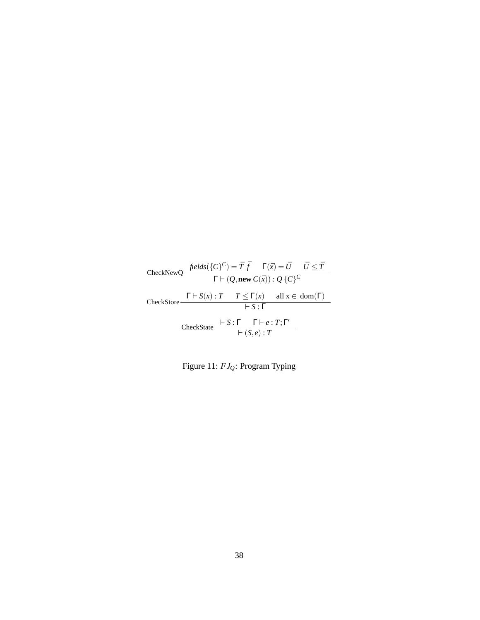| CheckNewQ $\frac{\text{fields}(\{C\}^C) = \bar{T} \bar{f}}{\Gamma \vdash (Q, \text{new } C(\bar{x})) : Q \{C\}^C}$ |                         |  |
|--------------------------------------------------------------------------------------------------------------------|-------------------------|--|
| CheckStore $\frac{\Gamma \vdash S(x) : T \quad T \leq \Gamma(x)}{\Gamma(x)}$ all $x \in dom(\Gamma)$               |                         |  |
|                                                                                                                    | $\vdash S \cdot \Gamma$ |  |
| CheckState $\frac{\vdash S:\Gamma \quad \Gamma\vdash e:T;\Gamma'}{\vdash (S,e):T}$                                 |                         |  |

Figure 11: *FJQ*: Program Typing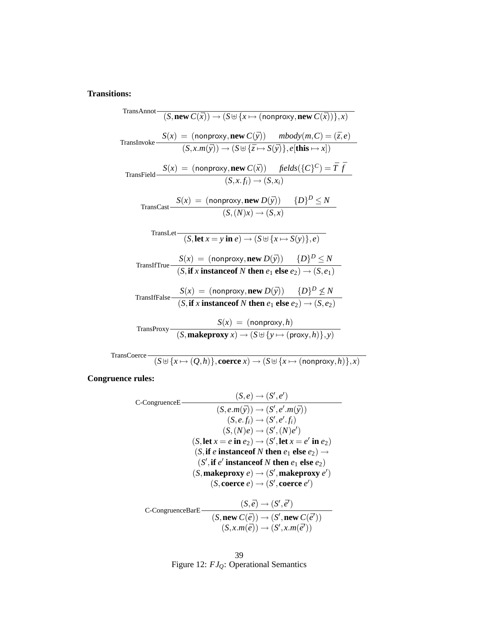## **Transitions:**

TransAnnot   
\n
$$
(S, new C(\bar{x})) \rightarrow (S \oplus \{x \mapsto (nonproxy, new C(\bar{x}))\}, x)
$$
  
\nTransInvoke  $\frac{S(x) = (nonproxy, new C(\bar{y})) \qquad mbody(m, C) = (\bar{z}, e)}{(S, x.m(\bar{y})) \rightarrow (S \oplus \{\bar{z} \mapsto S(\bar{y})\}, e[\textbf{this} \mapsto x])}$   
\nTransField  $\frac{S(x) = (nonproxy, new C(\bar{x})) \qquad fields({C}^C) = \bar{T} \bar{f}}{(S, x.f) \rightarrow (S, x_i)}$   
\nTransCast  $\frac{S(x) = (nonproxy, new D(\bar{y})) \qquad {D}^D \leq N}{(S, (N)x) \rightarrow (S, x)}$   
\nTransLet  $\frac{S(x) = (nonproxy, new D(\bar{y})) \qquad {D}^D \leq N}{(S, \textbf{let } x = y \textbf{ in } e) \rightarrow (S \oplus \{x \mapsto S(y)\}, e)}$   
\nTransHTrue  $\frac{S(x) = (nonproxy, new D(\bar{y})) \qquad {D}^D \leq N}{(S, \textbf{if } x \textbf{ instead of } N \textbf{ then } e_1 \textbf{ else } e_2) \rightarrow (S, e_1)}$   
\nTransHFalse  $\frac{S(x) = (nonproxy, new D(\bar{y})) \qquad {D}^D \not\leq N}{(S, \textbf{if } x \textbf{ instance of } N \textbf{ then } e_1 \textbf{ else } e_2) \rightarrow (S, e_2)}$   
\nTransProxy  $\frac{S(x) = (nonproxy, h)}{(S, \textbf{ makeproxy } x) \rightarrow (S \oplus \{y \mapsto (proxy, h)\}, y)}$ 

TransCoerce  $\frac{f(x) + f(x) + f(x)}{f(x) + f(x)}$ , **coerce**  $x$ )  $\rightarrow$   $(S \cup \{x \mapsto (nonproxy, h)\}, x)$ 

**Congruence rules:**

C-CongruenceE  
\n
$$
(S, e.m(\bar{y})) \rightarrow (S', e', m(\bar{y}))
$$
\n
$$
(S, e.m(\bar{y})) \rightarrow (S', e', m(\bar{y}))
$$
\n
$$
(S, e.f_i) \rightarrow (S', e', f_i)
$$
\n
$$
(S, (N)e) \rightarrow (S', (N)e')
$$
\n
$$
(S, \text{let } x = e \text{ in } e_2) \rightarrow (S', \text{let } x = e' \text{ in } e_2)
$$
\n
$$
(S, \text{if } e \text{ instance of } N \text{ then } e_1 \text{ else } e_2) \rightarrow (S', \text{inakeproxy } e) \rightarrow (S', \text{makeproxy } e')
$$
\n
$$
(S, \text{coerce } e) \rightarrow (S', \text{coerce } e')
$$

C- CongruenceBarE\n
$$
\cfrac{(S,\bar{e}) \rightarrow (S',\bar{e}')}{(S,\text{new }C(\bar{e})) \rightarrow (S',\text{new }C(\bar{e}'))}
$$
\n
$$
(S, x.m(\bar{e})) \rightarrow (S', x.m(\bar{e}'))
$$

$$
39
$$
   
Figure 12:  $FJ_Q$ : Operational Semantics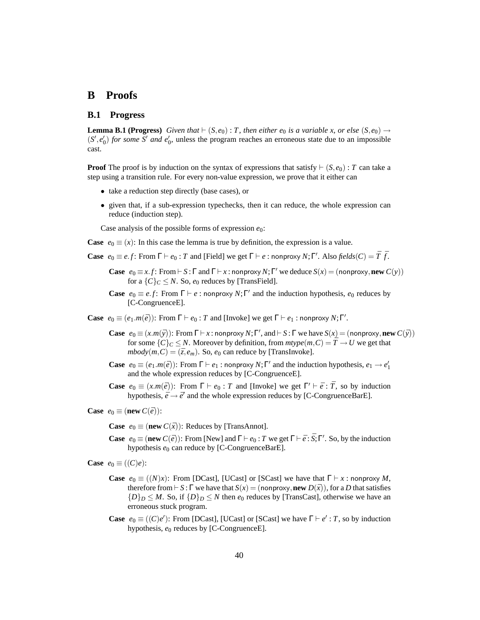## **B Proofs**

### **B.1 Progress**

**Lemma B.1 (Progress)** *Given that*  $\vdash (S, e_0) : T$ *, then either e<sub>0</sub> is a variable x, or else*  $(S, e_0) \rightarrow$  $(S', e'_{0})$  *for some S' and e'<sub>0</sub>*, unless the program reaches an erroneous state due to an impossible cast.

**Proof** The proof is by induction on the syntax of expressions that satisfy  $\vdash (S, e_0)$ : *T* can take a step using a transition rule. For every non-value expression, we prove that it either can

- take a reduction step directly (base cases), or
- given that, if a sub-expression typechecks, then it can reduce, the whole expression can reduce (induction step).

Case analysis of the possible forms of expression *e*0:

- **Case**  $e_0 \equiv (x)$ : In this case the lemma is true by definition, the expression is a value.
- **Case**  $e_0 \equiv e.f$ : From  $\Gamma \vdash e_0$ : *T* and [Field] we get  $\Gamma \vdash e$ : nonproxy *N*; Γ'. Also *fields*(*C*) =  $\overline{T}$   $\overline{f}$ .
	- **Case**  $e_0 \equiv x.f$ : From  $\vdash$  *S* :  $\Gamma$  and  $\Gamma \vdash x$ : nonproxy *N*;  $\Gamma'$  we deduce  $S(x) =$  (nonproxy, **new**  $C(y)$ ) for a  $\{C\}_C \leq N$ . So,  $e_0$  reduces by [TransField].
	- **Case**  $e_0 \equiv e.f$ : From  $\Gamma \vdash e$ : nonproxy  $N; \Gamma'$  and the induction hypothesis,  $e_0$  reduces by [C-CongruenceE].

**Case**  $e_0 \equiv (e_1.m(\bar{e}))$ : From  $\Gamma \vdash e_0$ : *T* and [Invoke] we get  $\Gamma \vdash e_1$ : nonproxy *N*;  $\Gamma'$ .

- **Case**  $e_0 \equiv (x \cdot m(\bar{y}))$ : From  $\Gamma \vdash x$ : nonproxy  $N; \Gamma'$ , and  $\vdash S : \Gamma$  we have  $S(x) = ($ nonproxy, **new**  $C(\bar{y})$ ) for some  $\{C\}_C \leq N$ . Moreover by definition, from  $mtype(m, C) = \overline{T} \rightarrow U$  we get that  $\textit{mbody}(m, C) = (\bar{z}, e_m)$ . So,  $e_0$  can reduce by [TransInvoke].
- **Case**  $e_0 \equiv (e_1.m(\bar{e}))$ : From  $\Gamma \vdash e_1$ : nonproxy *N*;  $\Gamma'$  and the induction hypothesis,  $e_1 \rightarrow e'_1$ and the whole expression reduces by [C-CongruenceE].
- **Case**  $e_0 \equiv (x.m(\bar{e}))$ : From  $\Gamma \vdash e_0$ : *T* and [Invoke] we get  $\Gamma' \vdash \bar{e}$ :  $\bar{T}$ , so by induction hypothesis,  $\bar{e} \rightarrow \bar{e}'$  and the whole expression reduces by [C-CongruenceBarE].

**Case**  $e_0 \equiv (\textbf{new } C(\bar{e}))$ :

**Case**  $e_0 \equiv (\textbf{new } C(\bar{x}))$ : Reduces by [TransAnnot].

**Case**  $e_0 \equiv (\textbf{new } C(\bar{e}))$ : From [New] and  $\Gamma \vdash e_0$ : *T* we get  $\Gamma \vdash \bar{e} : \bar{S}; \Gamma'$ . So, by the induction hypothesis  $e_0$  can reduce by [C-CongruenceBarE].

**Case**  $e_0 \equiv ((C)e)$ :

- **Case**  $e_0 \equiv ((N)x)$ : From [DCast], [UCast] or [SCast] we have that  $\Gamma \vdash x$  : nonproxy *M*, therefore from  $\vdash S : \Gamma$  we have that  $S(x) = (nonprovy, new D(\bar{x})),$  for a *D* that satisfies  ${D_D \leq M$ . So, if  ${D_D \leq N}$  then  $e_0$  reduces by [TransCast], otherwise we have an erroneous stuck program.
- **Case**  $e_0 \equiv ((C)e')$ : From [DCast], [UCast] or [SCast] we have  $\Gamma \vdash e' : T$ , so by induction hypothesis, *e*<sup>0</sup> reduces by [C-CongruenceE].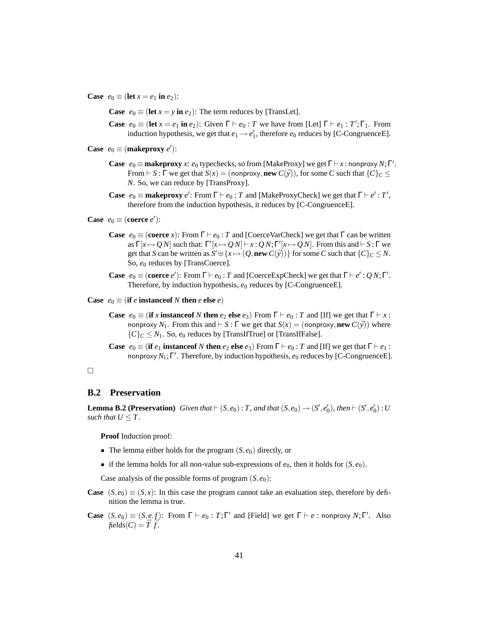**Case**  $e_0 \equiv (\text{let } x = e_1 \text{ in } e_2)$ :

**Case**  $e_0 \equiv (\text{let } x = y \text{ in } e_2)$ : The term reduces by [TransLet].

- **Case**  $e_0 \equiv (\text{let } x = e_1 \text{ in } e_2)$ : Given  $\Gamma \vdash e_0 : T$  we have from [Let]  $\Gamma \vdash e_1 : T'; \Gamma_1$ . From induction hypothesis, we get that  $e_1 \rightarrow e'_1$ , therefore  $e_0$  reduces by [C-CongruenceE].
- **Case**  $e_0 \equiv (\text{makeproxy } e')$ :
	- **Case**  $e_0 \equiv \textbf{makeproxy } x$ :  $e_0$  typechecks, so from [MakeProxy] we get  $\Gamma \vdash x$ : nonproxy  $N; \Gamma'$ . From  $\vdash$  *S* :  $\Gamma$  we get that  $S(x) = (\text{nonprov}_y, \text{new } C(\bar{y}))$ , for some *C* such that  $\{C\}_C \leq$ *N*. So, we can reduce by [TransProxy].
	- **Case**  $e_0 \equiv \textbf{makeproxy } e'$ : From  $\Gamma \vdash e_0 : T$  and [MakeProxyCheck] we get that  $\Gamma \vdash e' : T'$ , therefore from the induction hypothesis, it reduces by [C-CongruenceE].

**Case**  $e_0 \equiv (\text{coerce } e')$ :

- **Case**  $e_0 \equiv (\text{coerce } x)$ : From  $\Gamma \vdash e_0$ : *T* and [CoerceVarCheck] we get that  $\Gamma$  can be written as  $\Gamma[x \mapsto Q N]$  such that:  $\Gamma'[x \mapsto Q N] \vdash x : Q N; \Gamma'[x \mapsto Q N]$ . From this and  $\vdash S : \Gamma$  we get that *S* can be written as  $S' \cup \{x \mapsto (Q, \text{new } C(\bar{y}))\}$  for some *C* such that  $\{C\}_C \leq N$ . So,  $e_0$  reduces by [TransCoerce].
- **Case**  $e_0 \equiv (\text{coerce } e')$ : From  $\Gamma \vdash e_0$ : *T* and [CoerceExpCheck] we get that  $\Gamma \vdash e' : Q \, N; \Gamma'$ . Therefore, by induction hypothesis,  $e_0$  reduces by [C-CongruenceE].

**Case**  $e_0 \equiv (\textbf{if } e \textbf{ instance of } N \textbf{ then } e \textbf{ else } e)$ 

- **Case**  $e_0 \equiv (\mathbf{if} \ x \mathbf{instanceof} \ N \mathbf{then} \ e_2 \mathbf{else} \ e_3)$  From  $\Gamma \vdash e_0 : T$  and  $[\Gamma]$  we get that  $\Gamma \vdash x : T$ nonproxy  $N_1$ . From this and  $\vdash S : \Gamma$  we get that  $S(x) = (nonproxy, new C(\bar{y}))$  where  ${C}_C \leq N_1$ . So,  $e_0$  reduces by [TransIfTrue] or [TransIfFalse].
- **Case**  $e_0 \equiv (\mathbf{if } e_1 \mathbf{instanceof } N \mathbf{then } e_2 \mathbf{else } e_3)$  From  $\Gamma \vdash e_0 : T$  and  $[\text{If }]$  we get that  $\Gamma \vdash e_1 :$ nonproxy *N*1;Γ 0 . Therefore, by induction hypothesis, *e*<sup>0</sup> reduces by [C-CongruenceE].

#### $\Box$

#### **B.2 Preservation**

**Lemma B.2 (Preservation)** *Given that*  $\vdash (S, e_0) : T$ *, and that*  $(S, e_0) \rightarrow (S', e'_0)$ *, then*  $\vdash (S', e'_0) : U$ *such that*  $U \leq T$ *.* 

**Proof** Induction proof:

- The lemma either holds for the program  $(S, e_0)$  directly, or
- if the lemma holds for all non-value sub-expressions of  $e_0$ , then it holds for  $(S, e_0)$ .

Case analysis of the possible forms of program  $(S, e_0)$ :

- **Case**  $(S, e_0) \equiv (S, x)$ : In this case the program cannot take an evaluation step, therefore by definition the lemma is true.
- **Case**  $(S, e_0) \equiv (S, e, f)$ : From  $\Gamma \vdash e_0 : T; \Gamma'$  and [Field] we get  $\Gamma \vdash e$  : nonproxy *N*;  $\Gamma'$ . Also *fields*( $C$ ) =  $\overline{T}$   $\overline{f}$ .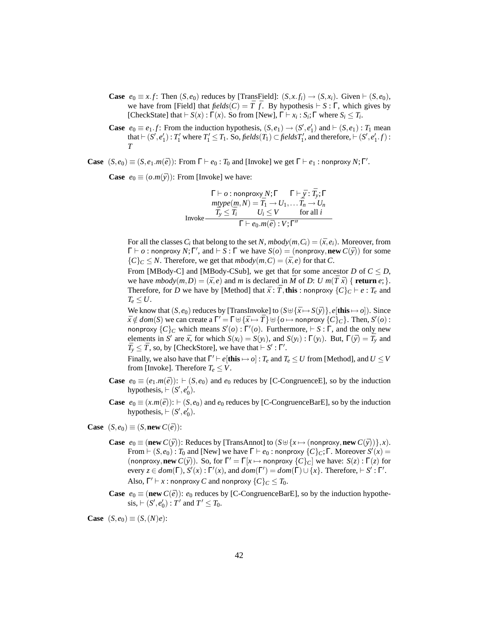- **Case**  $e_0 \equiv x$ . *f*: Then  $(S, e_0)$  reduces by [TransField]:  $(S, x, f) \rightarrow (S, x_i)$ . Given  $\vdash (S, e_0)$ , we have from [Field] that  $\text{fields}(C) = \overline{T} \cdot \overline{f}$ . By hypothesis  $\vdash S : \Gamma$ , which gives by [CheckState] that  $\vdash S(x)$  :  $\Gamma(x)$ . So from [New],  $\Gamma \vdash x_i : S_i$ ;  $\Gamma$  where  $S_i \leq T_i$ .
- **Case**  $e_0 \equiv e_1.f$ : From the induction hypothesis,  $(S, e_1) \rightarrow (S', e'_1)$  and  $\vdash (S, e_1) : T_1$  mean that  $\vdash (S', e'_1)$ : *T*<sup>1</sup> where *T*<sup>1</sup>  $\leq$  *T*<sub>1</sub>. So, *fields*(*T*<sub>1</sub>)  $\subset$  *fieldsT*<sup>1</sup><sub>1</sub>, and therefore,  $\vdash (S', e'_1.f)$ : *T*

**Case**  $(S, e_0) \equiv (S, e_1.m(\bar{e}))$ : From  $\Gamma \vdash e_0 : T_0$  and [Invoke] we get  $\Gamma \vdash e_1 :$  nonproxy  $N; \Gamma'$ .

**Case**  $e_0 \equiv (o.m(\bar{y}))$ : From [Invoke] we have:

$$
\Gamma \vdash o : \text{nonprovy } N; \Gamma \qquad \Gamma \vdash \bar{y} : \bar{T}_y; \Gamma
$$
\n
$$
\text{mtype}(m, N) = \bar{T}_1 \rightarrow U_1, \dots \bar{T}_n \rightarrow U_n
$$
\n
$$
\bar{T}_y \le \bar{T}_i \qquad U_i \le V \qquad \text{for all } i
$$
\n
$$
\Gamma \vdash e_0.m(\bar{e}) : V; \Gamma''
$$

For all the classes  $C_i$  that belong to the set *N*,  $mbody(m, C_i) = (\bar{x}, e_i)$ . Moreover, from  $\Gamma \vdash o :$  nonproxy  $N; \Gamma'$ , and  $\vdash S : \Gamma$  we have  $S(o) = ($  nonproxy, **new**  $C(\bar{y}))$  for some  ${C \brace C \subseteq N}$ . Therefore, we get that  $mbody(m, C) = (\bar{x}, e)$  for that *C*.

From [MBody-C] and [MBody-CSub], we get that for some ancestor *D* of  $C \leq D$ , we have  $mbody(m, D) = (\bar{x}, e)$  and *m* is declared in  $\bar{M}$  of *D*: *U*  $m(\bar{T}\bar{x})$  { **return**  $e$ ; }. Therefore, for *D* we have by [Method] that  $\bar{x}$  :  $\bar{T}$ , this : nonproxy  $\{C\}_C \vdash e$  :  $T_e$  and  $T_e \leq U$ .

We know that  $(S, e_0)$  reduces by [TransInvoke] to  $(S \cup \{\bar{x} \mapsto S(\bar{y})\}, e[\textbf{this} \mapsto o])$ . Since  $\bar{x} \notin dom(S)$  we can create a  $\Gamma' = \Gamma \oplus {\{\bar{x} \mapsto \bar{T}\}\cup \{o \mapsto \text{nonprovy } \{C\}_C\}}$ . Then,  $S'(o)$ : nonproxy  $\{C\}_C$  which means  $S'(o)$ :  $\Gamma'(o)$ . Furthermore,  $\vdash S$ :  $\Gamma$ , and the only new elements in  $S'$  are  $\bar{x}$ , for which  $S(x_i) = S(y_i)$ , and  $S(y_i) : \Gamma(y_i)$ . But,  $\Gamma(\bar{y}) = \overline{T}_y$  and  $\bar{T}_y \leq \bar{T}$ , so, by [CheckStore], we have that  $\vdash S'$ : Γ'.

Finally, we also have that  $\Gamma' \vdash e[\textbf{this} \mapsto o]$  :  $T_e$  and  $T_e \leq U$  from [Method], and  $U \leq V$ from [Invoke]. Therefore  $T_e \leq V$ .

- **Case**  $e_0 \equiv (e_1 \cdot m(\bar{e})) : \vdash (S, e_0)$  and  $e_0$  reduces by [C-CongruenceE], so by the induction hypothesis,  $\vdash (S', e'_0)$ .
- **Case**  $e_0 \equiv (x.m(\bar{e})) : \vdash (S, e_0)$  and  $e_0$  reduces by [C-CongruenceBarE], so by the induction hypothesis,  $\vdash (S', e'_0)$ .

**Case**  $(S, e_0) \equiv (S, \textbf{new } C(\bar{e}))$ :

- **Case**  $e_0 \equiv (\textbf{new } C(\bar{y}))$ : Reduces by [TransAnnot] to  $(S \oplus \{x \mapsto (\text{nonprov}_y, \textbf{new } C(\bar{y}))\}, x)$ . From  $\vdash (S, e_0) : T_0$  and [New] we have  $\Gamma \vdash e_0 : \text{nonprovay } \{C\}_C; \Gamma$ . Moreover  $S'(x) =$ (nonproxy, new  $C(\bar{y})$ ). So, for  $\Gamma' = \Gamma[x \mapsto \text{nonproxy } \{C\}_C]$  we have:  $S(z) : \Gamma(z)$  for every  $z \in dom(\Gamma)$ ,  $S'(x): \Gamma'(x)$ , and  $dom(\Gamma') = dom(\Gamma) \cup \{x\}$ . Therefore,  $\vdash S': \Gamma'$ . Also,  $\Gamma' \vdash x$  : nonproxy *C* and nonproxy  $\{C\}_C \leq T_0$ .
- **Case**  $e_0 \equiv (\textbf{new } C(\bar{e}))$ :  $e_0$  reduces by [C-CongruenceBarE], so by the induction hypothe- $\text{sis}, \vdash (S', e_0') : T' \text{ and } T' \leq T_0.$

**Case**  $(S, e_0) \equiv (S, (N)e)$ :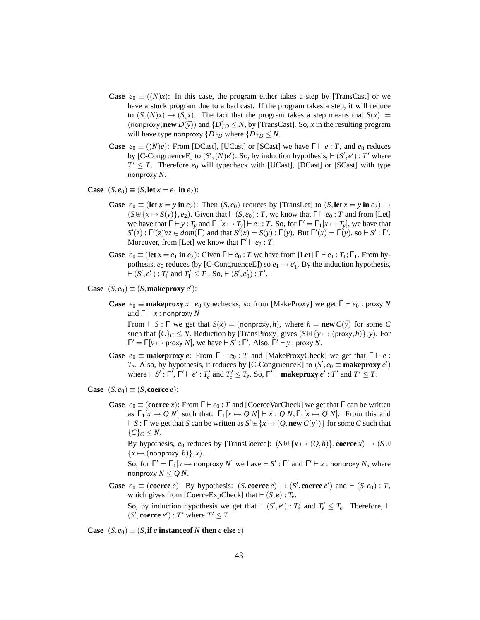- **Case**  $e_0 \equiv ((N)x)$ : In this case, the program either takes a step by [TransCast] or we have a stuck program due to a bad cast. If the program takes a step, it will reduce to  $(S,(N)x) \rightarrow (S,x)$ . The fact that the program takes a step means that  $S(x)$ (nonproxy, **new**  $D(\bar{y})$ ) and  $\{D\}_D \leq N$ , by [TransCast]. So, *x* in the resulting program will have type nonproxy  $\{D\}_D$  where  $\{D\}_D \leq N$ .
- **Case**  $e_0 \equiv ((N)e)$ : From [DCast], [UCast] or [SCast] we have  $\Gamma \vdash e : T$ , and  $e_0$  reduces by [C-CongruenceE] to  $(S', (N)e')$ . So, by induction hypothesis,  $\vdash (S', e') : T'$  where  $T' \leq T$ . Therefore  $e_0$  will typecheck with [UCast], [DCast] or [SCast] with type nonproxy *N*.
- **Case**  $(S, e_0) \equiv (S, \text{let } x = e_1 \text{ in } e_2)$ :
	- **Case**  $e_0 \equiv (\textbf{let } x = y \textbf{ in } e_2)$ : Then  $(S, e_0)$  reduces by [TransLet] to  $(S, \textbf{let } x = y \textbf{ in } e_2) \rightarrow$  $(S \oplus \{x \mapsto S(y)\}, e_2)$ . Given that  $\vdash (S, e_0) : T$ , we know that  $\Gamma \vdash e_0 : T$  and from [Let] we have that  $\Gamma \vdash y : T_y$  and  $\Gamma_1[x \mapsto T_y] \vdash e_2 : T$ . So, for  $\Gamma' = \Gamma_1[x \mapsto T_y]$ , we have that  $S'(z): \Gamma'(z) \forall z \in dom(\Gamma)$  and that  $S'(x) = S(y): \Gamma(y)$ . But  $\Gamma'(x) = \Gamma(y)$ , so  $\vdash S': \Gamma'.$ Moreover, from [Let] we know that  $\Gamma' \vdash e_2 : T$ .
	- **Case**  $e_0 \equiv (\textbf{let } x = e_1 \textbf{ in } e_2)$ : Given  $\Gamma \vdash e_0 : T$  we have from  $[\textbf{Let}] \Gamma \vdash e_1 : T_1; \Gamma_1$ . From hypothesis,  $e_0$  reduces (by [C-CongruenceE]) so  $e_1 \rightarrow e'_1$ . By the induction hypothesis,  $\vdash (S', e'_1) : T'_1 \text{ and } T'_1 \leq T_1. \text{ So, } \vdash (S', e'_0) : T'.$
- **Case**  $(S, e_0) \equiv (S, \text{makeproxy } e')$ :
	- **Case**  $e_0 \equiv \textbf{makeprox}$  *x*:  $e_0$  typechecks, so from [MakeProxy] we get  $\Gamma \vdash e_0$ : proxy *N* and  $\Gamma \vdash x :$  nonproxy N

From  $\vdash S : \Gamma$  we get that  $S(x) = (nonprox<sub>y</sub>, h)$ , where  $h = new C(\bar{y})$  for some C such that  ${C}_C \leq N$ . Reduction by [TransProxy] gives  $(S \cup \{y \mapsto (proxy, h)\}, y)$ . For  $\Gamma' = \Gamma[y \mapsto \text{proxy } N]$ , we have  $\vdash S' : \Gamma'$ . Also,  $\Gamma' \vdash y : \text{proxy } N$ .

- **Case**  $e_0 \equiv$  **makeproxy**  $e$ : From  $\Gamma \vdash e_0$ : *T* and [MakeProxyCheck] we get that  $\Gamma \vdash e$ : *T<sub>e</sub>*. Also, by hypothesis, it reduces by [C-CongruenceE] to  $(S', e_0 \equiv \textbf{makeprox} \, e')$ where  $\vdash S' : \Gamma', \Gamma' \vdash e' : T'_e$  and  $T'_e \leq T_e$ . So,  $\Gamma' \vdash$  **makeproxy**  $e' : T'$  and  $T' \leq T$ .
- **Case**  $(S, e_0) \equiv (S, \text{coerce } e)$ :
	- **Case**  $e_0 \equiv (\text{coerce } x)$ : From  $\Gamma \vdash e_0$ : *T* and [CoerceVarCheck] we get that  $\Gamma$  can be written as  $\Gamma_1[x \mapsto Q N]$  such that:  $\Gamma_1[x \mapsto Q N] \vdash x : Q N; \Gamma_1[x \mapsto Q N]$ . From this and  $\vdash S : \Gamma$  we get that *S* can be written as  $S' \uplus \{x \mapsto (Q, \text{new } C(\bar{y}))\}$  for some *C* such that  ${C}$ <sub>*C*</sub>  $\leq$  *N*.

By hypothesis,  $e_0$  reduces by [TransCoerce]:  $(S \cup \{x \mapsto (Q, h)\}, \text{coerce } x) \to (S \cup$  ${x \mapsto (nonproxy,h)},x$ .

So, for  $\Gamma' = \Gamma_1[x \mapsto \text{nonproxy } N]$  we have  $\vdash S' : \Gamma'$  and  $\Gamma' \vdash x : \text{nonproxy } N$ , where nonproxy  $N \leq Q N$ .

**Case**  $e_0 \equiv (\text{coerce } e)$ : By hypothesis:  $(S, \text{coerce } e) \rightarrow (S', \text{coerce } e')$  and  $\vdash (S, e_0)$ : *T*, which gives from [CoerceExpCheck] that  $\vdash (S, e) : T_e$ . So, by induction hypothesis we get that  $\vdash (S', e') : T'_{e}$  and  $T'_{e} \leq T_{e}$ . Therefore,  $\vdash$ 

 $(S', \text{coerce } e') : T' \text{ where } T' \leq T.$ 

**Case**  $(S, e_0) \equiv (S, \textbf{if } e \textbf{ instance of } N \textbf{ then } e \textbf{ else } e)$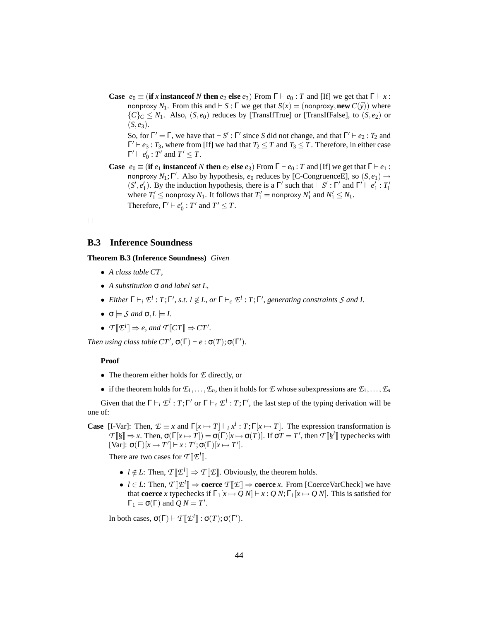**Case**  $e_0 \equiv (\textbf{if } x \textbf{ instance of } N \textbf{ then } e_2 \textbf{ else } e_3)$  From  $\Gamma \vdash e_0 : T$  and [If] we get that  $\Gamma \vdash x :$ nonproxy  $N_1$ . From this and  $\vdash S : \Gamma$  we get that  $S(x) = (nonproxy, new C(\bar{y}))$  where  ${C}_C \leq N_1$ . Also,  $(S, e_0)$  reduces by [TransIfTrue] or [TransIfFalse], to  $(S, e_2)$  or  $(S, e_3)$ .

So, for  $\Gamma' = \Gamma$ , we have that  $\vdash S' : \Gamma'$  since *S* did not change, and that  $\Gamma' \vdash e_2 : T_2$  and  $\Gamma' \vdash e_3 : T_3$ , where from [If] we had that  $T_2 \leq T$  and  $T_3 \leq T$ . Therefore, in either case  $\Gamma' \vdash e_0' : T'$  and  $T' \leq T$ .

**Case**  $e_0 \equiv (\mathbf{if } e_1 \mathbf{instanceof } N \mathbf{then } e_2 \mathbf{else } e_3)$  From  $\Gamma \vdash e_0 : T$  and  $[\text{If }]$  we get that  $\Gamma \vdash e_1 :$ nonproxy  $N_1$ ; Γ'. Also by hypothesis,  $e_0$  reduces by [C-CongruenceE], so  $(S, e_1) \rightarrow$  $(S', e'_1)$ . By the induction hypothesis, there is a  $\Gamma'$  such that  $\vdash S' : \Gamma'$  and  $\Gamma' \vdash e'_1 : T'_1$ where  $T_1' \leq$  nonproxy  $N_1$ . It follows that  $T_1' =$  nonproxy  $N_1'$  and  $N_1' \leq N_1$ . Therefore,  $\Gamma' \vdash e'_0 : T'$  and  $T' \leq T$ .

 $\Box$ 

### **B.3 Inference Soundness**

**Theorem B.3 (Inference Soundness)** *Given*

- *A class table CT ,*
- *A substitution* σ *and label set L,*
- *Either*  $\Gamma \vdash_i \mathcal{L}^l : T; \Gamma', s.t.$   $l \notin L$ , or  $\Gamma \vdash_c \mathcal{L}^l : T; \Gamma',$  generating constraints S and I.
- $\bullet \ \sigma \models \mathcal{S} \text{ and } \sigma, L \models I.$
- $T[\mathcal{L}^l] \Rightarrow e$ , and  $T[\mathcal{C}T] \Rightarrow CT'.$

*Then using class table CT',*  $\sigma(\Gamma) \vdash e : \sigma(T); \sigma(\Gamma').$ 

#### **Proof**

- The theorem either holds for *E* directly, or
- if the theorem holds for  $\mathcal{F}_1,\ldots,\mathcal{F}_n$ , then it holds for  $\mathcal E$  whose subexpressions are  $\mathcal{F}_1,\ldots,\mathcal{F}_n$

Given that the  $\Gamma \vdash_i \mathcal{L}^l : T; \Gamma'$  or  $\Gamma \vdash_c \mathcal{L}^l : T; \Gamma'$ , the last step of the typing derivation will be one of:

**Case** [I-Var]: Then,  $\mathcal{L} \equiv x$  and  $\Gamma[x \mapsto T] \vdash_i x^l : T; \Gamma[x \mapsto T]$ . The expression transformation is  $T[\S] \Rightarrow x$ . Then,  $\sigma(\Gamma[x \mapsto T]) = \sigma(\Gamma)[x \mapsto \sigma(T)]$ . If  $\sigma T = T'$ , then  $T[\S^l]$  typechecks with

 $[\text{Var}]$ :  $\sigma(\Gamma)[x \mapsto T'] \vdash x$ :  $T'; \sigma(\Gamma)[x \mapsto T'].$ There are two cases for  $\mathcal{T}[\![\mathcal{I}^l]\!]$ .

- - $l \notin L$ : Then,  $T[\mathcal{I}^l] \Rightarrow T[\mathcal{I}].$  Obviously, the theorem holds.
	- *l* ∈ *L*: Then, *T* [[*E l* ]] ⇒ **coerce** *T* [[*E*]] ⇒ **coerce** *x*. From [CoerceVarCheck] we have that **coerce** *x* typechecks if  $\Gamma_1[x \mapsto Q N] \vdash x : Q N; \Gamma_1[x \mapsto Q N]$ . This is satisfied for  $\Gamma_1 = \sigma(\Gamma)$  and  $Q N = T'$ .

In both cases,  $\sigma(\Gamma) \vdash \mathcal{T}[\![\mathcal{L}^l]\!] : \sigma(T); \sigma(\Gamma').$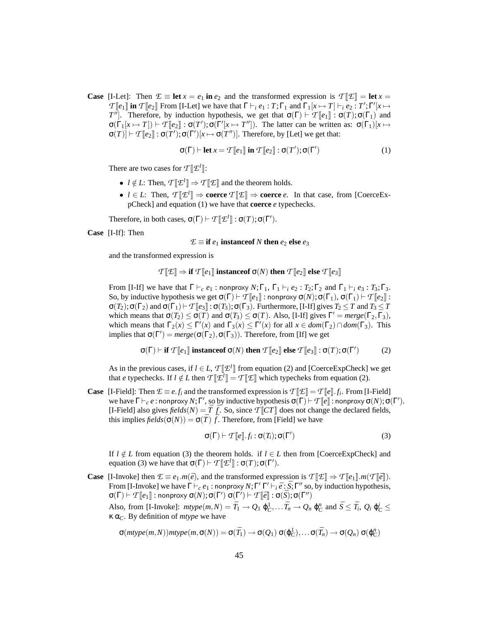**Case** [I-Let]: Then  $E \equiv \textbf{let } x = e_1$  **in**  $e_2$  and the transformed expression is  $T \mathbb{E} \cdot \mathbb{E} = \textbf{let } x = \textbf{let } x$  $T[\![e_1]\!]$  **in**  $T[\![e_2]\!]$  From [I-Let] we have that  $\Gamma \vdash_i e_1 : T; \Gamma_1$  and  $\Gamma_1[x \mapsto T] \vdash_i e_2 : T'; \Gamma'[x \mapsto T]$ *T*<sup>''</sup>]. Therefore, by induction hypothesis, we get that  $\sigma(\Gamma) \vdash \mathcal{T}[\![e_1]\!] : \sigma(T) ; \sigma(\Gamma_1)$  and  $\sigma(\Gamma_1[x \mapsto T]) \vdash \mathcal{T}[[e_2]] : \sigma(T'); \sigma(\Gamma'[x \mapsto T''])$ . The latter can be written as:  $\sigma(\Gamma_1)[x \mapsto$  $\sigma(T)$   $\vdash$   $T$   $[\![e_2]\!]$  :  $\sigma(T')$ ;  $\sigma(\Gamma')$   $[x \mapsto \sigma(T'')]$ . Therefore, by [Let] we get that:

$$
\sigma(\Gamma) \vdash \textbf{let } x = \mathcal{T}[\![e_1]\!] \textbf{ in } \mathcal{T}[\![e_2]\!] : \sigma(T'); \sigma(\Gamma')
$$
 (1)

There are two cases for  $\mathcal{T}[\![\mathcal{I}^l]\!]$ :

- $l \notin L$ : Then,  $T[\mathcal{I}^l] \Rightarrow T[\mathcal{I}]$  and the theorem holds.
- $l \in L$ : Then,  $T[\![\mathcal{F}]\!] \Rightarrow$  **coerce**  $T[\![\mathcal{E}]\!] \Rightarrow$  **coerce** *e*. In that case, from [CoerceExpCheck] and equation (1) we have that **coerce** *e* typechecks.

Therefore, in both cases,  $\sigma(\Gamma) \vdash \mathcal{T}[\![\mathcal{L}^l]\!] : \sigma(T) ; \sigma(\Gamma').$ 

**Case** [I-If]: Then

$$
\mathcal{E} \equiv \textbf{if } e_1 \textbf{ instance of } N \textbf{ then } e_2 \textbf{ else } e_3
$$

and the transformed expression is

$$
\mathcal{T}[\![\mathcal{E}]\!] \Rightarrow \textbf{if } \mathcal{T}[\![e_1]\!]\textbf{ instance of }\sigma(N)\textbf{ then }\mathcal{T}[\![e_2]\!]\textbf{ else }\mathcal{T}[\![e_3]\!]
$$

From [I-If] we have that  $\Gamma \vdash_c e_1$ : nonproxy  $N; \Gamma_1, \Gamma_1 \vdash_i e_2 : T_2; \Gamma_2$  and  $\Gamma_1 \vdash_i e_3 : T_3; \Gamma_3$ . So, by inductive hypothesis we get  $\sigma(\Gamma) \vdash \mathcal{T}[[e_1]]$  : nonproxy  $\sigma(N)$ ;  $\sigma(\Gamma_1)$ ,  $\sigma(\Gamma_1) \vdash \mathcal{T}[[e_2]]$  :  $\sigma(T_2)$ ;  $\sigma(\Gamma_2)$  and  $\sigma(\Gamma_1) \vdash \mathcal{T}[[e_3]] : \sigma(T_3)$ ;  $\sigma(\Gamma_3)$ . Furthermore, [I-If] gives  $T_2 \leq T$  and  $T_3 \leq T$ which means that  $\sigma(T_2) \leq \sigma(T)$  and  $\sigma(T_3) \leq \sigma(T)$ . Also, [I-If] gives  $\Gamma' = \text{merge}(\Gamma_2, \Gamma_3)$ , which means that  $\Gamma_2(x) \leq \Gamma'(x)$  and  $\Gamma_3(x) \leq \Gamma'(x)$  for all  $x \in dom(\Gamma_2) \cap dom(\Gamma_3)$ . This implies that  $\sigma(\Gamma') = merge(\sigma(\Gamma_2), \sigma(\Gamma_3))$ . Therefore, from [If] we get

$$
\sigma(\Gamma) \vdash \textbf{if } \mathcal{T}[\![e_1]\!] \textbf{ instance of } \sigma(N) \textbf{ then } \mathcal{T}[\![e_2]\!] \textbf{ else } \mathcal{T}[\![e_3]\!] : \sigma(T); \sigma(\Gamma') \tag{2}
$$

As in the previous cases, if  $l \in L$ ,  $T[\mathcal{L}^l]$  from equation (2) and [CoerceExpCheck] we get that *e* typechecks. If  $l \notin L$  then  $T[\mathcal{L}^l]] = T[\mathcal{I}]]$  which typecheks from equation (2).

**Case** [I-Field]: Then  $E \equiv e.f_i$  and the transformed expression is  $T[\mathcal{L}] = T[\![e]\!] \cdot f_i$ . From [I-Field] we have  $\Gamma \vdash_c e : \mathsf{nonprox} \cup N; \Gamma'$ , so by inductive hypothesis  $\sigma(\Gamma) \vdash \mathcal{T}[[e]] : \mathsf{nonprox} \cup \sigma(N); \sigma(\Gamma').$ [I-Field] also gives  $\text{fields}(N) = \overline{T} \cdot \overline{f}$ . So, since  $\mathcal{T} \| \mathcal{C} \mathcal{T} \|$  does not change the declared fields, this implies  $\text{fields}(\sigma(N)) = \sigma(\bar{T}) \bar{f}$ . Therefore, from [Field] we have

$$
\sigma(\Gamma) \vdash \mathcal{T}[[e]].f_i : \sigma(T_i); \sigma(\Gamma')
$$
\n(3)

If  $l \notin L$  from equation (3) the theorem holds. if  $l \in L$  then from [CoerceExpCheck] and equation (3) we have that  $\sigma(\Gamma) \vdash \mathcal{T}[\![\mathcal{L}^l]\!] : \sigma(T) ; \sigma(\Gamma').$ 

**Case** [I-Invoke] then  $\mathcal{E} \equiv e_1 \cdot m(\bar{e})$ , and the transformed expression is  $T[\mathcal{E}] \Rightarrow T[\![e_1]\!] \cdot m(T[\![\bar{e}]\!])$ . From [I-Invoke] we have  $\Gamma \vdash_c e_1$ : nonproxy  $N; \Gamma' \Gamma' \vdash_i \bar{e} : \bar{S}; \Gamma''$  so, by induction hypothesis,  $\sigma(\Gamma) \vdash \mathcal{T}\llbracket e_1 \rrbracket :$  nonproxy  $\sigma(N); \sigma(\Gamma')\; \sigma(\Gamma') \vdash \mathcal{T}\llbracket \bar{e} \rrbracket : \sigma(\bar{S}); \sigma(\Gamma'')$ 

Also, from [I-Invoke]:  $mtype(m,N) = \bar{T}_1 \rightarrow Q_1 \phi_C^1, \dots \bar{T}_n \rightarrow Q_n \phi_C^n$  and  $\bar{S} \leq \bar{T}_i$ ,  $Q_i \phi_C^i \leq$ κ α*C*. By definition of *mtype* we have

$$
\sigma(\mathit{mtype}(m,N))\mathit{mtype}(m,\sigma(N)) = \sigma(\bar{T}_1) \rightarrow \sigma(Q_1) \, \sigma(\phi_C^1), \ldots \sigma(\bar{T}_n) \rightarrow \sigma(Q_n) \, \sigma(\phi_C^n)
$$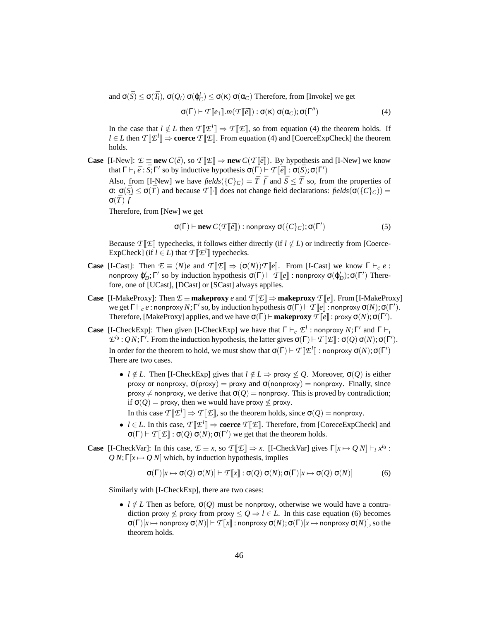and  $\sigma(\bar{S}) \leq \sigma(\bar{T}_i)$ ,  $\sigma(Q_i) \sigma(\varphi_C^i) \leq \sigma(\kappa) \sigma(\alpha_C)$  Therefore, from [Invoke] we get

$$
\sigma(\Gamma) \vdash \mathcal{T}[\![e_1]\!].m(\mathcal{T}[\![\bar{e}]\!]) : \sigma(\kappa) \sigma(\alpha_C); \sigma(\Gamma'')
$$
\n(4)

In the case that  $l \notin L$  then  $T[\mathcal{I}^l] \Rightarrow T[\mathcal{I}],$  so from equation (4) the theorem holds. If *l* ∈ *L* then  $T[\mathcal{L}^l]$  ⇒ **coerce**  $T[\mathcal{L}$ . From equation (4) and [CoerceExpCheck] the theorem holds.

**Case** [I-New]:  $E \equiv \textbf{new } C(\bar{e}),$  so  $T[\mathbb{E}] \Rightarrow \textbf{new } C(T[\bar{e}]),$  By hypothesis and [I-New] we know that  $\Gamma \vdash_i \bar{e} : \bar{S}; \Gamma'$  so by inductive hypothesis  $\sigma(\Gamma) \vdash \mathcal{T}[\![\bar{e}]\!]: \sigma(\bar{S}); \sigma(\Gamma')$ 

Also, from [I-New] we have  $\text{fields}(\{C\}_C) = \overline{T} \bar{f}$  and  $\overline{S} \leq \overline{T}$  so, from the properties of σ:  $\sigma(\bar{S}) \leq \sigma(\bar{T})$  and because  $T[\cdot]$  does not change field declarations: *fields*( $\sigma({C}^{\{C\}}_C)$ ) =  $\sigma(\bar{T})[\bar{\bar{f}}]$ 

Therefore, from [New] we get

$$
\sigma(\Gamma) \vdash \textbf{new } C(\mathcal{T}[\![\bar{e}]\!]) : \text{nonproxy } \sigma(\{C\}_C); \sigma(\Gamma') \tag{5}
$$

Because  $T$  [ $\mathcal{E}$ ] typechecks, it follows either directly (if  $l \notin L$ ) or indirectly from [Coerce-ExpCheck] (if  $l \in L$ ) that  $T[\![\mathcal{L}^l]\!]$  typechecks.

- **Case** [I-Cast]: Then  $\mathcal{E} \equiv (N)e$  and  $T[\mathcal{E}] \Rightarrow (\sigma(N))T[e]$ . From [I-Cast] we know  $\Gamma \vdash_c e$ : nonproxy  $\phi'_D$ ; Γ' so by induction hypothesis  $\sigma(\Gamma) \vdash T[\![e]\!]$  : nonproxy  $\sigma(\phi'_D)$ ;  $\sigma(\Gamma')$  Therefore, one of [UCast], [DCast] or [SCast] always applies.
- **Case** [I-MakeProxy]: Then  $E \equiv$  **makeproxy** *e* and  $T[\![E]\!] \Rightarrow$  **makeproxy**  $T[\![e]\!]$ . From [I-MakeProxy] we get  $\Gamma \vdash_c e$ : nonproxy *N*;  $\Gamma'$  so, by induction hypothesis  $\sigma(\Gamma) \vdash \mathcal{T}[[e]]$ : nonproxy  $\sigma(N)$ ;  $\sigma(\Gamma')$ . Therefore, [MakeProxy] applies, and we have  $\sigma(\Gamma) \vdash$  makeproxy  $\mathcal{T}[\![e]\!]$  : proxy  $\sigma(N)$ ;  $\sigma(\Gamma').$
- **Case** [I-CheckExp]: Then given [I-CheckExp] we have that  $\Gamma \vdash_c \mathcal{E}^l$  : nonproxy  $N; \Gamma'$  and  $\Gamma \vdash_i$  $\mathcal{L}^{l_0}$  : *QN*; Γ'. From the induction hypothesis, the latter gives  $\sigma(\Gamma) \vdash \mathcal{T}(\mathbb{I} \mathcal{I}) : \sigma(Q) \sigma(N) ; \sigma(\Gamma').$ In order for the theorem to hold, we must show that  $\sigma(\Gamma) \vdash \mathcal{T}[\![\mathcal{I}^l]\!]$  : nonproxy  $\sigma(N); \sigma(\Gamma')$ There are two cases.
	- *l*  $\notin L$ . Then [I-CheckExp] gives that  $l \notin L \Rightarrow$  proxy  $\notin Q$ . Moreover,  $\sigma(Q)$  is either proxy or nonproxy,  $σ(prows) = proxy$  and  $σ(nonproxy) = nonproxy$ . Finally, since proxy  $\neq$  nonproxy, we derive that  $\sigma(Q)$  = nonproxy. This is proved by contradiction; if  $\sigma(Q)$  = proxy, then we would have proxy  $\leq$  proxy.
		- In this case  $\mathcal{T}[\mathcal{I}^l] \Rightarrow \mathcal{T}[\mathcal{I}],$  so the theorem holds, since  $\sigma(Q)$  = nonproxy.
	- *l* ∈ *L*. In this case, *T* [[*E l* ]] ⇒ **coerce** *T* [[*E*]]. Therefore, from [CoreceExpCheck] and  $\sigma(\Gamma) \vdash \mathcal{T}[\![\mathcal{I}]\!]: \sigma(Q) \, \sigma(N); \sigma(\Gamma')$  we get that the theorem holds.
- **Case** [I-CheckVar]: In this case,  $\mathcal{E} \equiv x$ , so  $\mathcal{T}[\mathcal{E}] \Rightarrow x$ . [I-CheckVar] gives  $\Gamma[x \mapsto Q] \models_i x^{l_0}$ :  $QN; \Gamma[x \mapsto Q]$  which, by induction hypothesis, implies

$$
\sigma(\Gamma)[x \mapsto \sigma(Q) \sigma(N)] \vdash \mathcal{T}[\![x]\!] : \sigma(Q) \sigma(N); \sigma(\Gamma)[x \mapsto \sigma(Q) \sigma(N)] \tag{6}
$$

Similarly with [I-CheckExp], there are two cases:

•  $l \notin L$  Then as before,  $\sigma(Q)$  must be nonproxy, otherwise we would have a contradiction proxy  $\leq$  proxy from proxy  $\leq$  *Q* ⇒ *l* ∈ *L*. In this case equation (6) becomes  $σ(Γ)[x \mapsto$  nonproxy  $σ(N)] ⊢ T[[x]]$ : nonproxy  $σ(N); σ(Γ)[x \mapsto$  nonproxy  $σ(N)]$ , so the theorem holds.